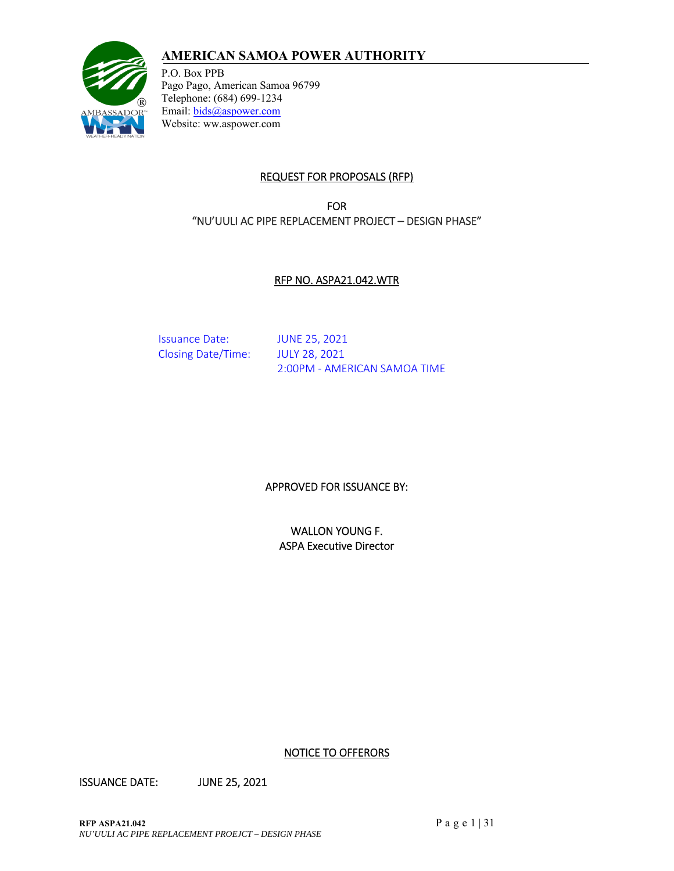# **AMERICAN SAMOA POWER AUTHORITY**



P.O. Box PPB Pago Pago, American Samoa 96799 Telephone: (684) 699-1234 Email: bids@aspower.com Website: ww.aspower.com

## REQUEST FOR PROPOSALS (RFP)

FOR "NU'UULI AC PIPE REPLACEMENT PROJECT – DESIGN PHASE"

#### RFP NO. ASPA21.042.WTR

Issuance Date: JUNE 25, 2021 Closing Date/Time: JULY 28, 2021

2:00PM ‐ AMERICAN SAMOA TIME

## APPROVED FOR ISSUANCE BY:

WALLON YOUNG F. ASPA Executive Director

NOTICE TO OFFERORS

ISSUANCE DATE: JUNE 25, 2021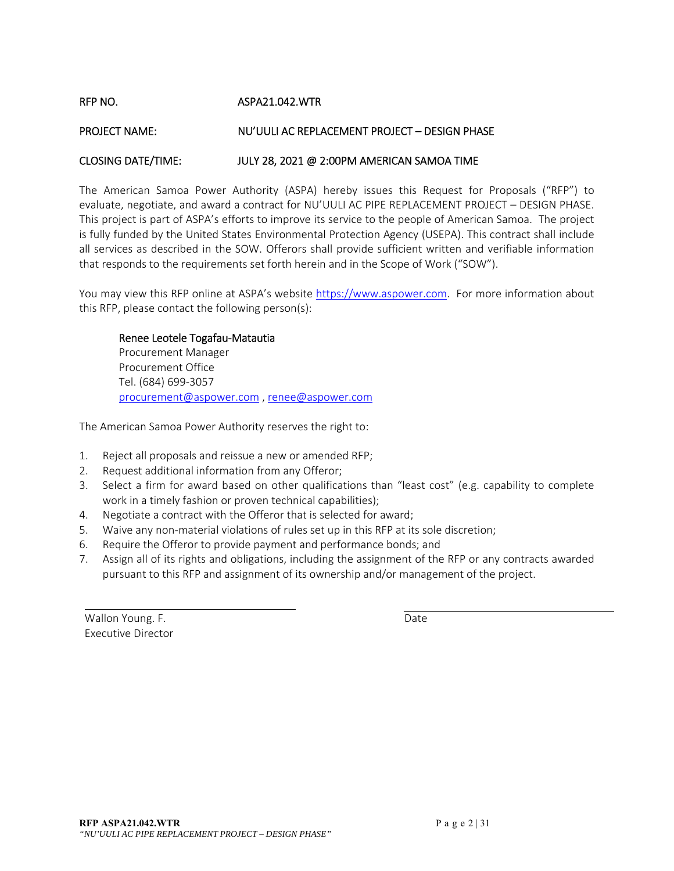RFP NO. ASPA21.042.WTR

#### PROJECT NAME: NU'UULI AC REPLACEMENT PROJECT – DESIGN PHASE

#### CLOSING DATE/TIME: JULY 28, 2021 @ 2:00PM AMERICAN SAMOA TIME

The American Samoa Power Authority (ASPA) hereby issues this Request for Proposals ("RFP") to evaluate, negotiate, and award a contract for NU'UULI AC PIPE REPLACEMENT PROJECT – DESIGN PHASE. This project is part of ASPA's efforts to improve its service to the people of American Samoa. The project is fully funded by the United States Environmental Protection Agency (USEPA). This contract shall include all services as described in the SOW. Offerors shall provide sufficient written and verifiable information that responds to the requirements set forth herein and in the Scope of Work ("SOW").

You may view this RFP online at ASPA's website https://www.aspower.com. For more information about this RFP, please contact the following person(s):

#### Renee Leotele Togafau‐Matautia

Procurement Manager Procurement Office Tel. (684) 699‐3057 procurement@aspower.com , renee@aspower.com

The American Samoa Power Authority reserves the right to:

- 1. Reject all proposals and reissue a new or amended RFP;
- 2. Request additional information from any Offeror;
- 3. Select a firm for award based on other qualifications than "least cost" (e.g. capability to complete work in a timely fashion or proven technical capabilities);
- 4. Negotiate a contract with the Offeror that is selected for award;
- 5. Waive any non-material violations of rules set up in this RFP at its sole discretion;
- 6. Require the Offeror to provide payment and performance bonds; and
- 7. Assign all of its rights and obligations, including the assignment of the RFP or any contracts awarded pursuant to this RFP and assignment of its ownership and/or management of the project.

Wallon Young. F. **Wallon Young.** F. Executive Director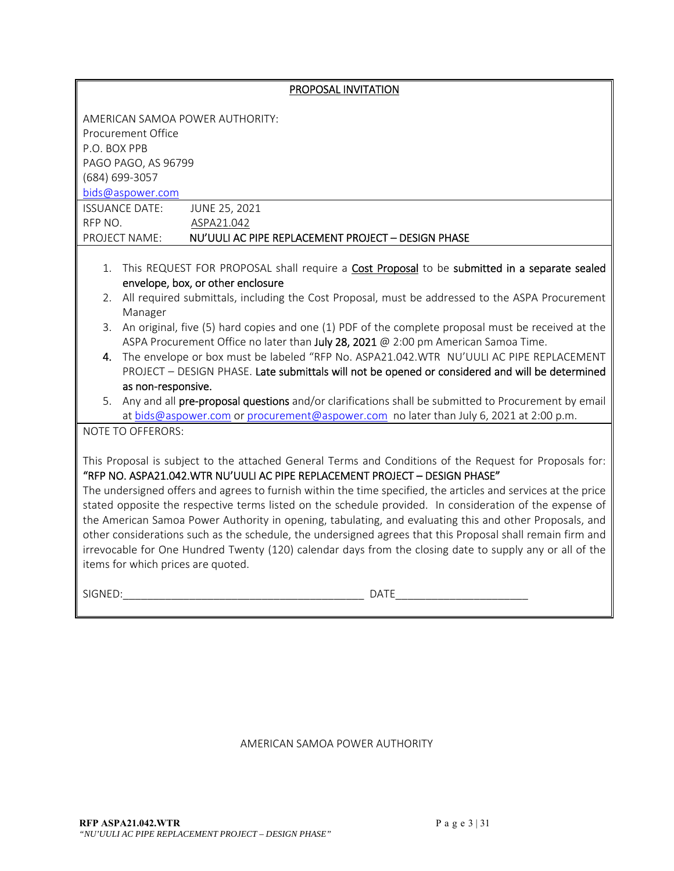|                                                                                                                | PROPOSAL INVITATION                                                                                                                                                                    |  |  |  |  |
|----------------------------------------------------------------------------------------------------------------|----------------------------------------------------------------------------------------------------------------------------------------------------------------------------------------|--|--|--|--|
|                                                                                                                |                                                                                                                                                                                        |  |  |  |  |
|                                                                                                                | AMERICAN SAMOA POWER AUTHORITY:                                                                                                                                                        |  |  |  |  |
| P.O. BOX PPB                                                                                                   | Procurement Office                                                                                                                                                                     |  |  |  |  |
| PAGO PAGO, AS 96799                                                                                            |                                                                                                                                                                                        |  |  |  |  |
| (684) 699-3057                                                                                                 |                                                                                                                                                                                        |  |  |  |  |
| bids@aspower.com                                                                                               |                                                                                                                                                                                        |  |  |  |  |
| <b>ISSUANCE DATE:</b>                                                                                          | JUNE 25, 2021                                                                                                                                                                          |  |  |  |  |
| RFP NO.                                                                                                        | ASPA21.042                                                                                                                                                                             |  |  |  |  |
| PROJECT NAME:                                                                                                  | NU'UULI AC PIPE REPLACEMENT PROJECT - DESIGN PHASE                                                                                                                                     |  |  |  |  |
|                                                                                                                |                                                                                                                                                                                        |  |  |  |  |
|                                                                                                                | 1. This REQUEST FOR PROPOSAL shall require a <b>Cost Proposal</b> to be submitted in a separate sealed<br>envelope, box, or other enclosure                                            |  |  |  |  |
|                                                                                                                | 2. All required submittals, including the Cost Proposal, must be addressed to the ASPA Procurement                                                                                     |  |  |  |  |
| Manager                                                                                                        |                                                                                                                                                                                        |  |  |  |  |
|                                                                                                                | 3. An original, five (5) hard copies and one (1) PDF of the complete proposal must be received at the                                                                                  |  |  |  |  |
|                                                                                                                | ASPA Procurement Office no later than July 28, 2021 @ 2:00 pm American Samoa Time.                                                                                                     |  |  |  |  |
| 4.                                                                                                             | The envelope or box must be labeled "RFP No. ASPA21.042.WTR NU'UULI AC PIPE REPLACEMENT                                                                                                |  |  |  |  |
| as non-responsive.                                                                                             | PROJECT - DESIGN PHASE. Late submittals will not be opened or considered and will be determined                                                                                        |  |  |  |  |
|                                                                                                                | 5. Any and all pre-proposal questions and/or clarifications shall be submitted to Procurement by email                                                                                 |  |  |  |  |
|                                                                                                                | at bids@aspower.com or procurement@aspower.com no later than July 6, 2021 at 2:00 p.m.                                                                                                 |  |  |  |  |
| NOTE TO OFFERORS:                                                                                              |                                                                                                                                                                                        |  |  |  |  |
|                                                                                                                |                                                                                                                                                                                        |  |  |  |  |
|                                                                                                                | This Proposal is subject to the attached General Terms and Conditions of the Request for Proposals for:<br>"RFP NO. ASPA21.042.WTR NU'UULI AC PIPE REPLACEMENT PROJECT - DESIGN PHASE" |  |  |  |  |
| The undersigned offers and agrees to furnish within the time specified, the articles and services at the price |                                                                                                                                                                                        |  |  |  |  |
|                                                                                                                | stated opposite the respective terms listed on the schedule provided. In consideration of the expense of                                                                               |  |  |  |  |
| the American Samoa Power Authority in opening, tabulating, and evaluating this and other Proposals, and        |                                                                                                                                                                                        |  |  |  |  |
| other considerations such as the schedule, the undersigned agrees that this Proposal shall remain firm and     |                                                                                                                                                                                        |  |  |  |  |
| irrevocable for One Hundred Twenty (120) calendar days from the closing date to supply any or all of the       |                                                                                                                                                                                        |  |  |  |  |
| items for which prices are quoted.                                                                             |                                                                                                                                                                                        |  |  |  |  |
| SIGNED:                                                                                                        | <b>DATE</b>                                                                                                                                                                            |  |  |  |  |
|                                                                                                                |                                                                                                                                                                                        |  |  |  |  |

AMERICAN SAMOA POWER AUTHORITY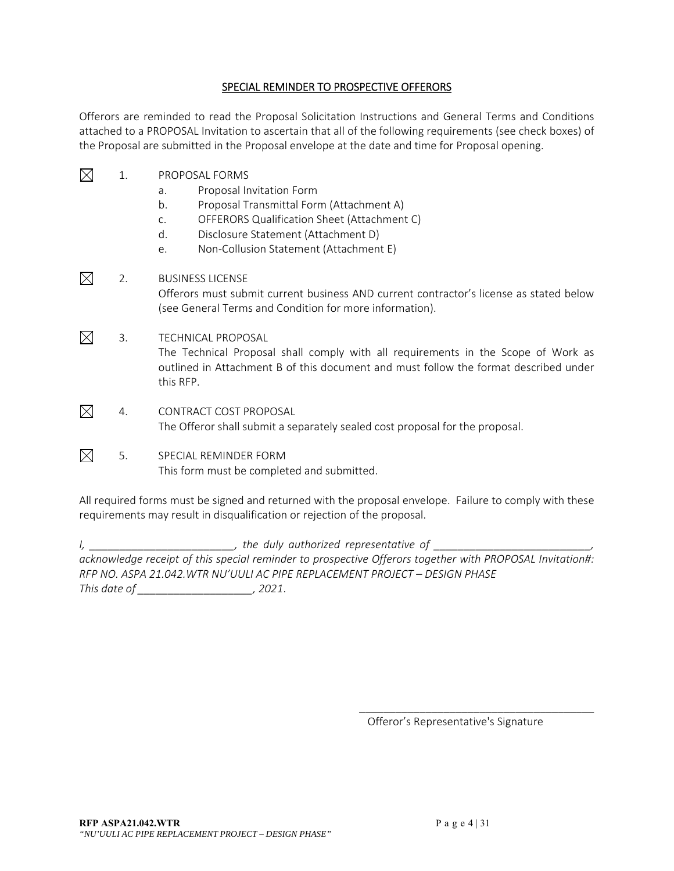#### SPECIAL REMINDER TO PROSPECTIVE OFFERORS

Offerors are reminded to read the Proposal Solicitation Instructions and General Terms and Conditions attached to a PROPOSAL Invitation to ascertain that all of the following requirements (see check boxes) of the Proposal are submitted in the Proposal envelope at the date and time for Proposal opening.

- $\boxtimes$  1. PROPOSAL FORMS
	- a. Proposal Invitation Form
	- b. Proposal Transmittal Form (Attachment A)
	- c. OFFERORS Qualification Sheet (Attachment C)
	- d. Disclosure Statement (Attachment D)
	- e. Non‐Collusion Statement (Attachment E)
- $\boxtimes$  2. BUSINESS LICENSE Offerors must submit current business AND current contractor's license as stated below (see General Terms and Condition for more information).
- $\boxtimes$  3. TECHNICAL PROPOSAL The Technical Proposal shall comply with all requirements in the Scope of Work as outlined in Attachment B of this document and must follow the format described under this RFP.
- $\boxtimes$  4. CONTRACT COST PROPOSAL The Offeror shall submit a separately sealed cost proposal for the proposal.
- $\boxtimes$  5. SPECIAL REMINDER FORM This form must be completed and submitted.

All required forms must be signed and returned with the proposal envelope. Failure to comply with these requirements may result in disqualification or rejection of the proposal.

*I*, \_\_\_\_\_\_\_\_\_\_\_\_\_\_\_\_\_\_\_\_\_\_\_\_\_\_\_\_, the duly authorized representative of \_\_\_\_\_\_\_ acknowledge receipt of this special reminder to prospective Offerors together with PROPOSAL Invitation#: *RFP NO. ASPA 21.042.WTR NU'UULI AC PIPE REPLACEMENT PROJECT – DESIGN PHASE This date of \_\_\_\_\_\_\_\_\_\_\_\_\_\_\_\_\_\_\_, 2021*.

Offeror's Representative's Signature

\_\_\_\_\_\_\_\_\_\_\_\_\_\_\_\_\_\_\_\_\_\_\_\_\_\_\_\_\_\_\_\_\_\_\_\_\_\_\_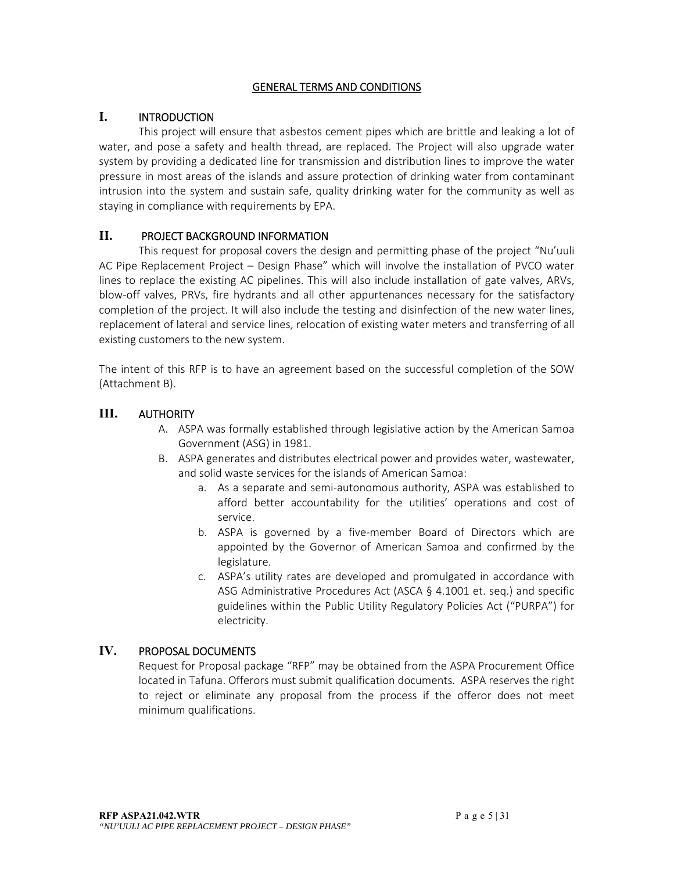#### GENERAL TERMS AND CONDITIONS

## **I.** INTRODUCTION

This project will ensure that asbestos cement pipes which are brittle and leaking a lot of water, and pose a safety and health thread, are replaced. The Project will also upgrade water system by providing a dedicated line for transmission and distribution lines to improve the water pressure in most areas of the islands and assure protection of drinking water from contaminant intrusion into the system and sustain safe, quality drinking water for the community as well as staying in compliance with requirements by EPA.

## **II.** PROJECT BACKGROUND INFORMATION

This request for proposal covers the design and permitting phase of the project "Nu'uuli AC Pipe Replacement Project – Design Phase" which will involve the installation of PVCO water lines to replace the existing AC pipelines. This will also include installation of gate valves, ARVs, blow-off valves, PRVs, fire hydrants and all other appurtenances necessary for the satisfactory completion of the project. It will also include the testing and disinfection of the new water lines, replacement of lateral and service lines, relocation of existing water meters and transferring of all existing customers to the new system.

The intent of this RFP is to have an agreement based on the successful completion of the SOW (Attachment B).

## **III.** AUTHORITY

- A. ASPA was formally established through legislative action by the American Samoa Government (ASG) in 1981.
- B. ASPA generates and distributes electrical power and provides water, wastewater, and solid waste services for the islands of American Samoa:
	- a. As a separate and semi‐autonomous authority, ASPA was established to afford better accountability for the utilities' operations and cost of service.
	- b. ASPA is governed by a five-member Board of Directors which are appointed by the Governor of American Samoa and confirmed by the legislature.
	- c. ASPA's utility rates are developed and promulgated in accordance with ASG Administrative Procedures Act (ASCA § 4.1001 et. seq.) and specific guidelines within the Public Utility Regulatory Policies Act ("PURPA") for electricity.

## **IV.** PROPOSAL DOCUMENTS

Request for Proposal package "RFP" may be obtained from the ASPA Procurement Office located in Tafuna. Offerors must submit qualification documents. ASPA reserves the right to reject or eliminate any proposal from the process if the offeror does not meet minimum qualifications.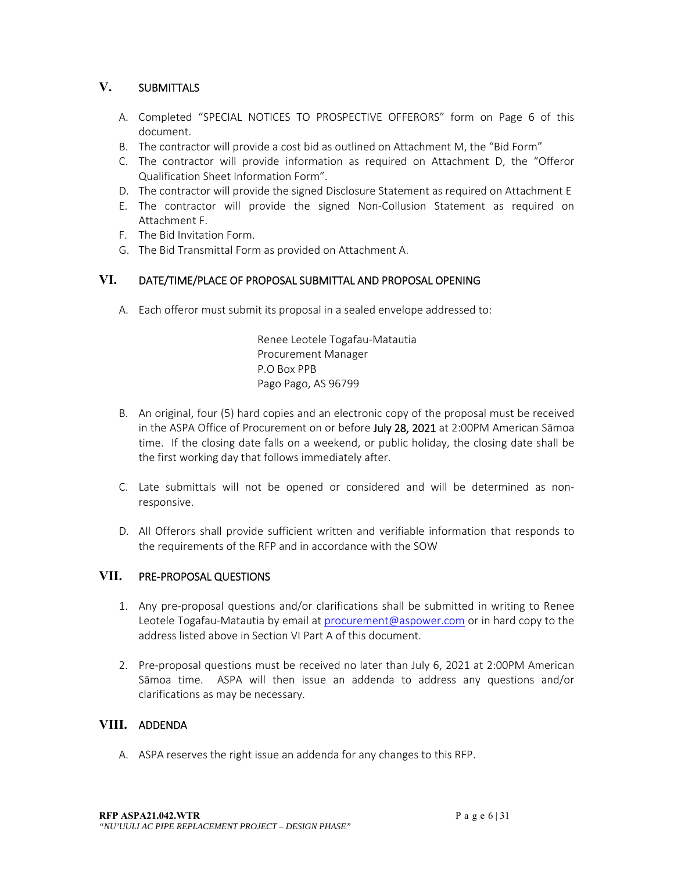## **V.** SUBMITTALS

- A. Completed "SPECIAL NOTICES TO PROSPECTIVE OFFERORS" form on Page 6 of this document.
- B. The contractor will provide a cost bid as outlined on Attachment M, the "Bid Form"
- C. The contractor will provide information as required on Attachment D, the "Offeror Qualification Sheet Information Form".
- D. The contractor will provide the signed Disclosure Statement as required on Attachment E
- E. The contractor will provide the signed Non‐Collusion Statement as required on Attachment F.
- F. The Bid Invitation Form.
- G. The Bid Transmittal Form as provided on Attachment A.

## **VI.** DATE/TIME/PLACE OF PROPOSAL SUBMITTAL AND PROPOSAL OPENING

A. Each offeror must submit its proposal in a sealed envelope addressed to:

Renee Leotele Togafau‐Matautia Procurement Manager P.O Box PPB Pago Pago, AS 96799

- B. An original, four (5) hard copies and an electronic copy of the proposal must be received in the ASPA Office of Procurement on or before July 28, 2021 at 2:00PM American Sāmoa time. If the closing date falls on a weekend, or public holiday, the closing date shall be the first working day that follows immediately after.
- C. Late submittals will not be opened or considered and will be determined as non‐ responsive.
- D. All Offerors shall provide sufficient written and verifiable information that responds to the requirements of the RFP and in accordance with the SOW

## **VII.** PRE‐PROPOSAL QUESTIONS

- 1. Any pre-proposal questions and/or clarifications shall be submitted in writing to Renee Leotele Togafau-Matautia by email at procurement@aspower.com or in hard copy to the address listed above in Section VI Part A of this document.
- 2. Pre-proposal questions must be received no later than July 6, 2021 at 2:00PM American Sāmoa time. ASPA will then issue an addenda to address any questions and/or clarifications as may be necessary.

## **VIII.** ADDENDA

A. ASPA reserves the right issue an addenda for any changes to this RFP.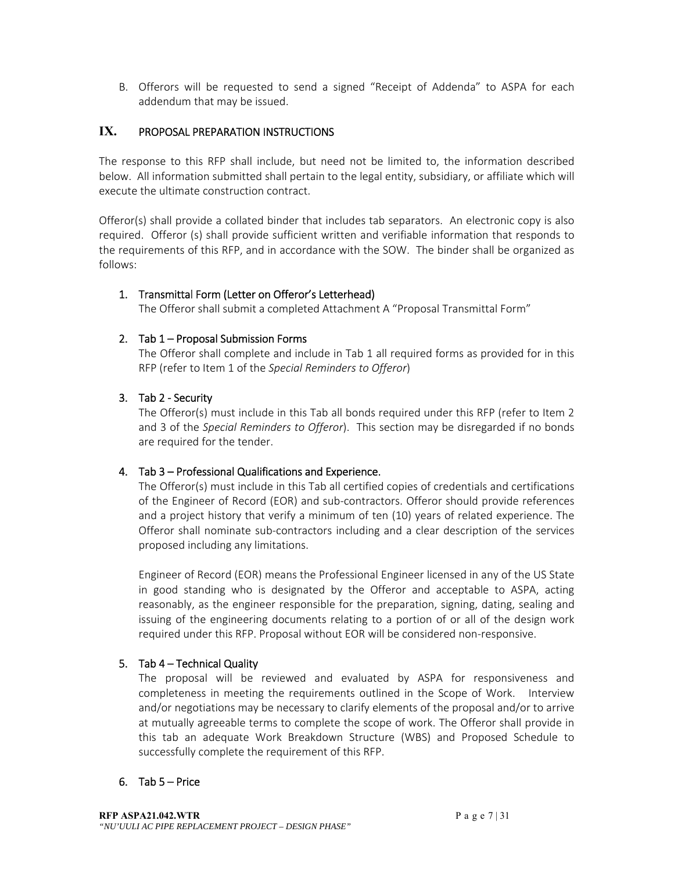B. Offerors will be requested to send a signed "Receipt of Addenda" to ASPA for each addendum that may be issued.

## **IX.** PROPOSAL PREPARATION INSTRUCTIONS

The response to this RFP shall include, but need not be limited to, the information described below. All information submitted shall pertain to the legal entity, subsidiary, or affiliate which will execute the ultimate construction contract.

Offeror(s) shall provide a collated binder that includes tab separators. An electronic copy is also required. Offeror (s) shall provide sufficient written and verifiable information that responds to the requirements of this RFP, and in accordance with the SOW. The binder shall be organized as follows:

#### 1. Transmittal Form (Letter on Offeror's Letterhead)

The Offeror shall submit a completed Attachment A "Proposal Transmittal Form"

#### 2. Tab 1 – Proposal Submission Forms

The Offeror shall complete and include in Tab 1 all required forms as provided for in this RFP (refer to Item 1 of the *Special Reminders to Offeror*)

#### 3. Tab 2 ‐ Security

The Offeror(s) must include in this Tab all bonds required under this RFP (refer to Item 2 and 3 of the *Special Reminders to Offeror*). This section may be disregarded if no bonds are required for the tender.

#### 4. Tab 3 – Professional Qualifications and Experience.

The Offeror(s) must include in this Tab all certified copies of credentials and certifications of the Engineer of Record (EOR) and sub‐contractors. Offeror should provide references and a project history that verify a minimum of ten (10) years of related experience. The Offeror shall nominate sub‐contractors including and a clear description of the services proposed including any limitations.

Engineer of Record (EOR) means the Professional Engineer licensed in any of the US State in good standing who is designated by the Offeror and acceptable to ASPA, acting reasonably, as the engineer responsible for the preparation, signing, dating, sealing and issuing of the engineering documents relating to a portion of or all of the design work required under this RFP. Proposal without EOR will be considered non‐responsive.

#### 5. Tab 4 – Technical Quality

The proposal will be reviewed and evaluated by ASPA for responsiveness and completeness in meeting the requirements outlined in the Scope of Work. Interview and/or negotiations may be necessary to clarify elements of the proposal and/or to arrive at mutually agreeable terms to complete the scope of work. The Offeror shall provide in this tab an adequate Work Breakdown Structure (WBS) and Proposed Schedule to successfully complete the requirement of this RFP.

#### 6. Tab 5 – Price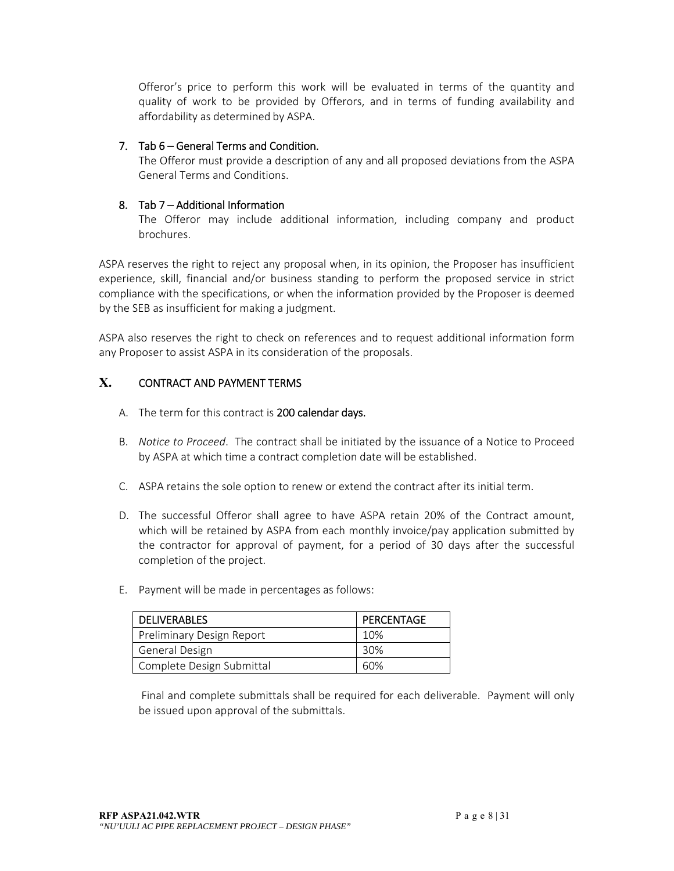Offeror's price to perform this work will be evaluated in terms of the quantity and quality of work to be provided by Offerors, and in terms of funding availability and affordability as determined by ASPA.

#### 7. Tab 6 – General Terms and Condition.

The Offeror must provide a description of any and all proposed deviations from the ASPA General Terms and Conditions.

#### 8. Tab 7 – Additional Information

The Offeror may include additional information, including company and product brochures.

ASPA reserves the right to reject any proposal when, in its opinion, the Proposer has insufficient experience, skill, financial and/or business standing to perform the proposed service in strict compliance with the specifications, or when the information provided by the Proposer is deemed by the SEB as insufficient for making a judgment.

ASPA also reserves the right to check on references and to request additional information form any Proposer to assist ASPA in its consideration of the proposals.

## **X.** CONTRACT AND PAYMENT TERMS

- A. The term for this contract is 200 calendar days.
- B. *Notice to Proceed*. The contract shall be initiated by the issuance of a Notice to Proceed by ASPA at which time a contract completion date will be established.
- C. ASPA retains the sole option to renew or extend the contract after its initial term.
- D. The successful Offeror shall agree to have ASPA retain 20% of the Contract amount, which will be retained by ASPA from each monthly invoice/pay application submitted by the contractor for approval of payment, for a period of 30 days after the successful completion of the project.
- E. Payment will be made in percentages as follows:

| <b>DELIVERABLES</b>       | PERCENTAGE |
|---------------------------|------------|
| Preliminary Design Report | 10%        |
| General Design            | 30%        |
| Complete Design Submittal | 60%        |

 Final and complete submittals shall be required for each deliverable. Payment will only be issued upon approval of the submittals.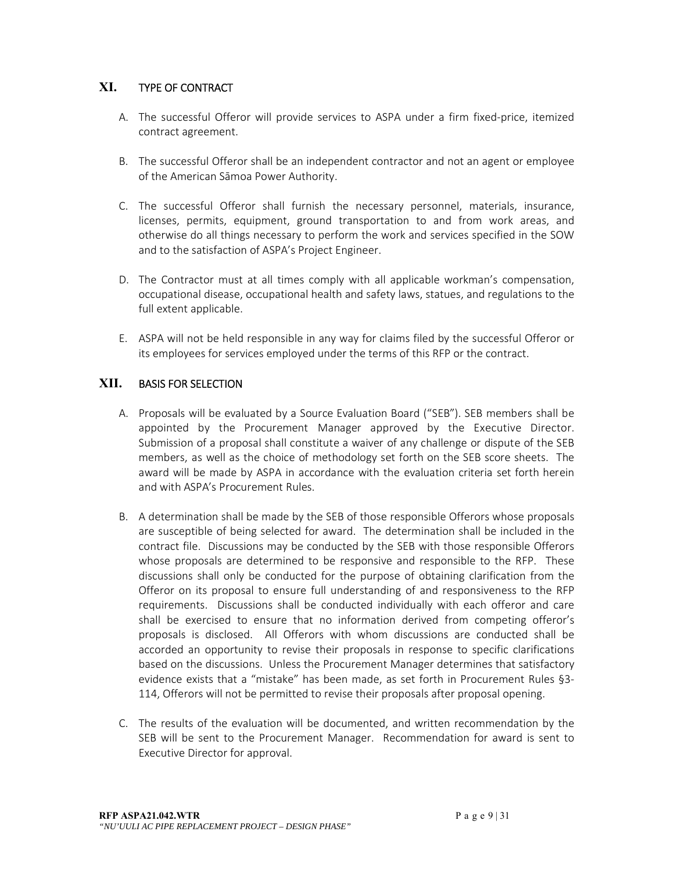## **XI.** TYPE OF CONTRACT

- A. The successful Offeror will provide services to ASPA under a firm fixed-price, itemized contract agreement.
- B. The successful Offeror shall be an independent contractor and not an agent or employee of the American Sāmoa Power Authority.
- C. The successful Offeror shall furnish the necessary personnel, materials, insurance, licenses, permits, equipment, ground transportation to and from work areas, and otherwise do all things necessary to perform the work and services specified in the SOW and to the satisfaction of ASPA's Project Engineer.
- D. The Contractor must at all times comply with all applicable workman's compensation, occupational disease, occupational health and safety laws, statues, and regulations to the full extent applicable.
- E. ASPA will not be held responsible in any way for claims filed by the successful Offeror or its employees for services employed under the terms of this RFP or the contract.

## **XII.** BASIS FOR SELECTION

- A. Proposals will be evaluated by a Source Evaluation Board ("SEB"). SEB members shall be appointed by the Procurement Manager approved by the Executive Director. Submission of a proposal shall constitute a waiver of any challenge or dispute of the SEB members, as well as the choice of methodology set forth on the SEB score sheets. The award will be made by ASPA in accordance with the evaluation criteria set forth herein and with ASPA's Procurement Rules.
- B. A determination shall be made by the SEB of those responsible Offerors whose proposals are susceptible of being selected for award. The determination shall be included in the contract file. Discussions may be conducted by the SEB with those responsible Offerors whose proposals are determined to be responsive and responsible to the RFP. These discussions shall only be conducted for the purpose of obtaining clarification from the Offeror on its proposal to ensure full understanding of and responsiveness to the RFP requirements. Discussions shall be conducted individually with each offeror and care shall be exercised to ensure that no information derived from competing offeror's proposals is disclosed. All Offerors with whom discussions are conducted shall be accorded an opportunity to revise their proposals in response to specific clarifications based on the discussions. Unless the Procurement Manager determines that satisfactory evidence exists that a "mistake" has been made, as set forth in Procurement Rules §3-114, Offerors will not be permitted to revise their proposals after proposal opening.
- C. The results of the evaluation will be documented, and written recommendation by the SEB will be sent to the Procurement Manager. Recommendation for award is sent to Executive Director for approval.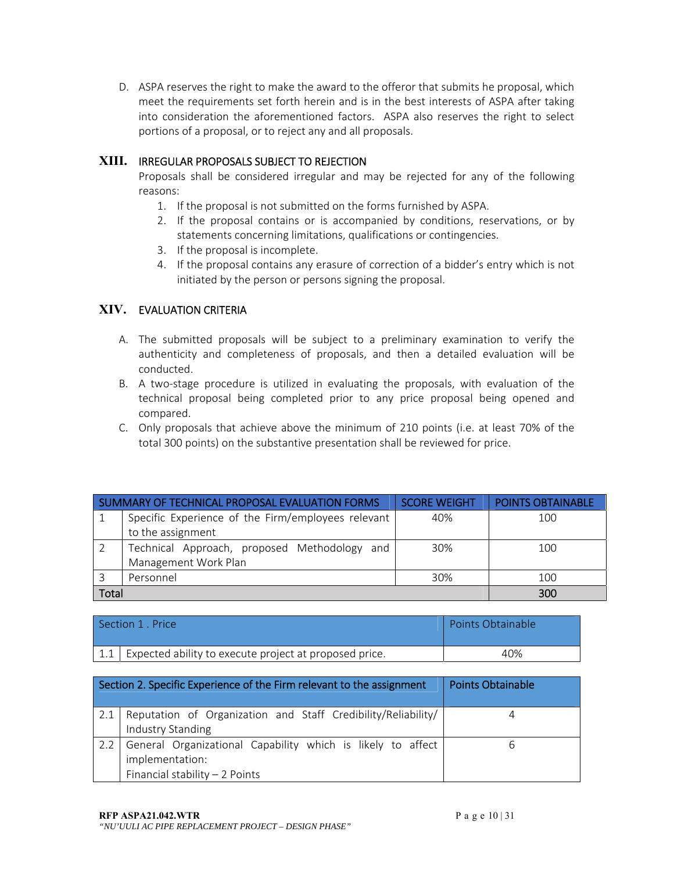D. ASPA reserves the right to make the award to the offeror that submits he proposal, which meet the requirements set forth herein and is in the best interests of ASPA after taking into consideration the aforementioned factors. ASPA also reserves the right to select portions of a proposal, or to reject any and all proposals.

## **XIII.** IRREGULAR PROPOSALS SUBJECT TO REJECTION

Proposals shall be considered irregular and may be rejected for any of the following reasons:

- 1. If the proposal is not submitted on the forms furnished by ASPA.
- 2. If the proposal contains or is accompanied by conditions, reservations, or by statements concerning limitations, qualifications or contingencies.
- 3. If the proposal is incomplete.
- 4. If the proposal contains any erasure of correction of a bidder's entry which is not initiated by the person or persons signing the proposal.

## **XIV.** EVALUATION CRITERIA

- A. The submitted proposals will be subject to a preliminary examination to verify the authenticity and completeness of proposals, and then a detailed evaluation will be conducted.
- B. A two-stage procedure is utilized in evaluating the proposals, with evaluation of the technical proposal being completed prior to any price proposal being opened and compared.
- C. Only proposals that achieve above the minimum of 210 points (i.e. at least 70% of the total 300 points) on the substantive presentation shall be reviewed for price.

| SUMMARY OF TECHNICAL PROPOSAL EVALUATION FORMS |                                                    | <b>SCORE WEIGHT</b> | <b>POINTS OBTAINABLE</b> |
|------------------------------------------------|----------------------------------------------------|---------------------|--------------------------|
|                                                | Specific Experience of the Firm/employees relevant | 40%                 | 100                      |
|                                                | to the assignment                                  |                     |                          |
|                                                | Technical Approach, proposed Methodology and       | 30%                 | 100                      |
|                                                | Management Work Plan                               |                     |                          |
|                                                | Personnel                                          | 30%                 | 100                      |
| Total                                          |                                                    |                     | 300                      |

| Section 1 Price                                        | Points Obtainable |
|--------------------------------------------------------|-------------------|
| Expected ability to execute project at proposed price. | 40%               |

| Section 2. Specific Experience of the Firm relevant to the assignment |                                                                                                                   | <b>Points Obtainable</b> |
|-----------------------------------------------------------------------|-------------------------------------------------------------------------------------------------------------------|--------------------------|
|                                                                       | Reputation of Organization and Staff Credibility/Reliability/<br>Industry Standing                                |                          |
| 2.2                                                                   | General Organizational Capability which is likely to affect<br>implementation:<br>Financial stability $-2$ Points |                          |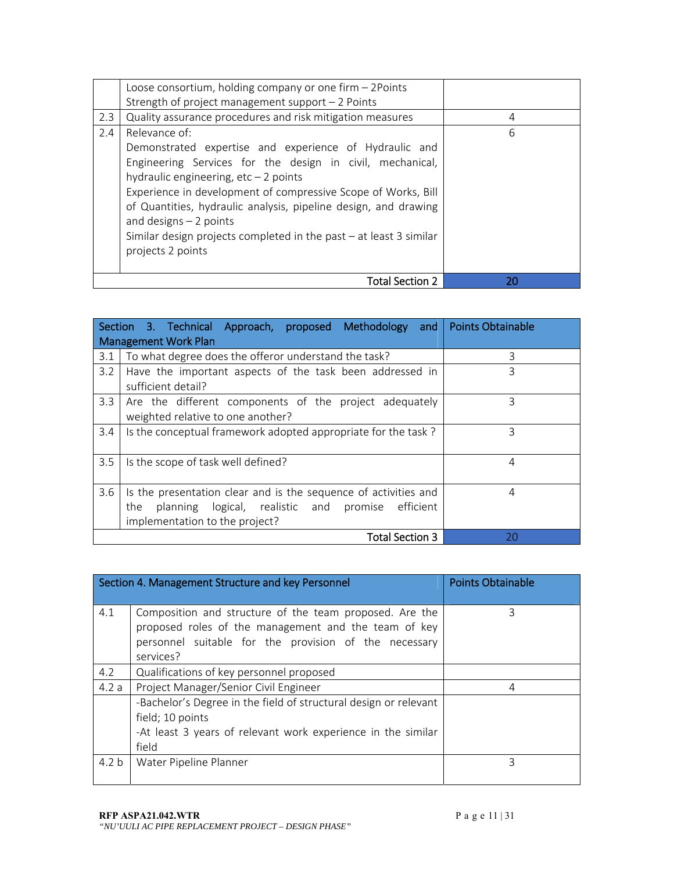|     | Loose consortium, holding company or one firm - 2Points<br>Strength of project management support $-2$ Points                                                                                                                                                                                                                                                                                                                             |    |
|-----|-------------------------------------------------------------------------------------------------------------------------------------------------------------------------------------------------------------------------------------------------------------------------------------------------------------------------------------------------------------------------------------------------------------------------------------------|----|
| 2.3 | Quality assurance procedures and risk mitigation measures                                                                                                                                                                                                                                                                                                                                                                                 | 4  |
| 2.4 | Relevance of:<br>Demonstrated expertise and experience of Hydraulic and<br>Engineering Services for the design in civil, mechanical,<br>hydraulic engineering, $etc-2$ points<br>Experience in development of compressive Scope of Works, Bill<br>of Quantities, hydraulic analysis, pipeline design, and drawing<br>and designs $-2$ points<br>Similar design projects completed in the past $-$ at least 3 similar<br>projects 2 points | 6  |
|     | Total Section 2                                                                                                                                                                                                                                                                                                                                                                                                                           | 20 |

|               | Section 3. Technical Approach, proposed Methodology and Points Obtainable                                                                                     |    |
|---------------|---------------------------------------------------------------------------------------------------------------------------------------------------------------|----|
|               | <b>Management Work Plan</b>                                                                                                                                   |    |
| 3.1           | To what degree does the offeror understand the task?                                                                                                          | 3  |
| 3.2           | Have the important aspects of the task been addressed in<br>sufficient detail?                                                                                | 3  |
| 3.3           | Are the different components of the project adequately<br>weighted relative to one another?                                                                   | ζ  |
| $3.4^{\circ}$ | Is the conceptual framework adopted appropriate for the task?                                                                                                 | ζ  |
| 3.5           | Is the scope of task well defined?                                                                                                                            | 4  |
| 3.6           | Is the presentation clear and is the sequence of activities and<br>planning logical, realistic and promise efficient<br>the<br>implementation to the project? | 4  |
|               | <b>Total Section 3</b>                                                                                                                                        | 20 |

|                  | Section 4. Management Structure and key Personnel                                                                                                                                     | <b>Points Obtainable</b> |
|------------------|---------------------------------------------------------------------------------------------------------------------------------------------------------------------------------------|--------------------------|
| 4.1              | Composition and structure of the team proposed. Are the<br>proposed roles of the management and the team of key<br>personnel suitable for the provision of the necessary<br>services? | 3                        |
| 4.2              | Qualifications of key personnel proposed                                                                                                                                              |                          |
| 4.2a             | Project Manager/Senior Civil Engineer                                                                                                                                                 | 4                        |
|                  | -Bachelor's Degree in the field of structural design or relevant<br>field; 10 points<br>-At least 3 years of relevant work experience in the similar<br>field                         |                          |
| 4.2 <sub>b</sub> | Water Pipeline Planner                                                                                                                                                                | 3                        |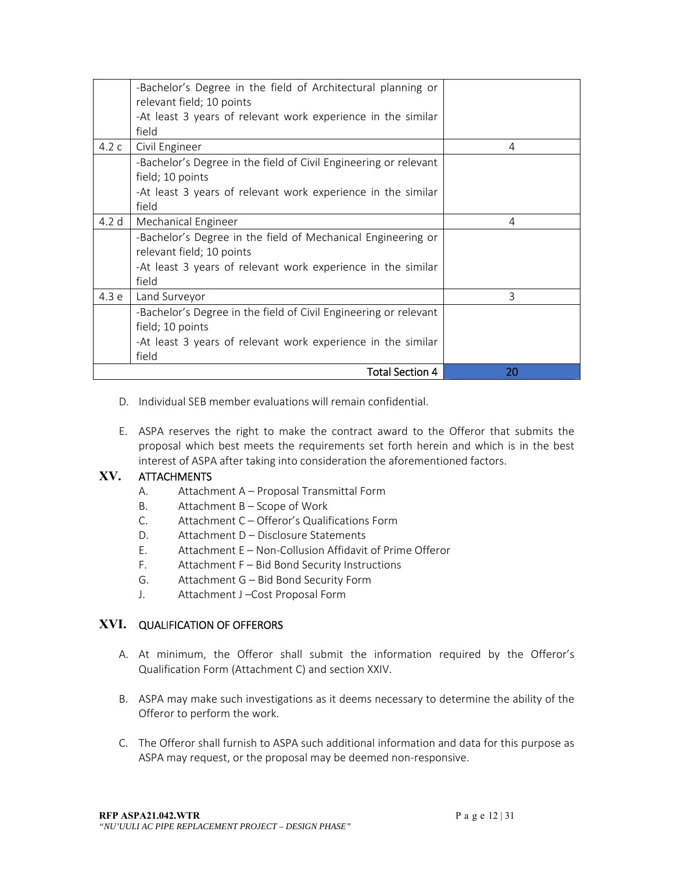|       | -Bachelor's Degree in the field of Architectural planning or<br>relevant field; 10 points |    |
|-------|-------------------------------------------------------------------------------------------|----|
|       | -At least 3 years of relevant work experience in the similar                              |    |
|       | field                                                                                     |    |
| 4.2c  |                                                                                           |    |
|       | Civil Engineer                                                                            | 4  |
|       | -Bachelor's Degree in the field of Civil Engineering or relevant                          |    |
|       | field; 10 points                                                                          |    |
|       | -At least 3 years of relevant work experience in the similar                              |    |
|       | field                                                                                     |    |
| 4.2 d | Mechanical Engineer                                                                       | 4  |
|       | -Bachelor's Degree in the field of Mechanical Engineering or                              |    |
|       | relevant field; 10 points                                                                 |    |
|       | -At least 3 years of relevant work experience in the similar                              |    |
|       | field                                                                                     |    |
| 4.3 e | Land Surveyor                                                                             | 3  |
|       | -Bachelor's Degree in the field of Civil Engineering or relevant                          |    |
|       | field; 10 points                                                                          |    |
|       | -At least 3 years of relevant work experience in the similar                              |    |
|       | field                                                                                     |    |
|       | <b>Total Section 4</b>                                                                    | 20 |

- D. Individual SEB member evaluations will remain confidential.
- E. ASPA reserves the right to make the contract award to the Offeror that submits the proposal which best meets the requirements set forth herein and which is in the best interest of ASPA after taking into consideration the aforementioned factors.

## **XV.** ATTACHMENTS

- A. Attachment A Proposal Transmittal Form
- B. Attachment B Scope of Work
- C. Attachment C Offeror's Qualifications Form
- D. Attachment D Disclosure Statements
- E. Attachment E Non-Collusion Affidavit of Prime Offeror
- F. Attachment F Bid Bond Security Instructions
- G. Attachment G Bid Bond Security Form
- J. Attachment J –Cost Proposal Form

## **XVI.** QUALIFICATION OF OFFERORS

- A. At minimum, the Offeror shall submit the information required by the Offeror's Qualification Form (Attachment C) and section XXIV.
- B. ASPA may make such investigations as it deems necessary to determine the ability of the Offeror to perform the work.
- C. The Offeror shall furnish to ASPA such additional information and data for this purpose as ASPA may request, or the proposal may be deemed non‐responsive.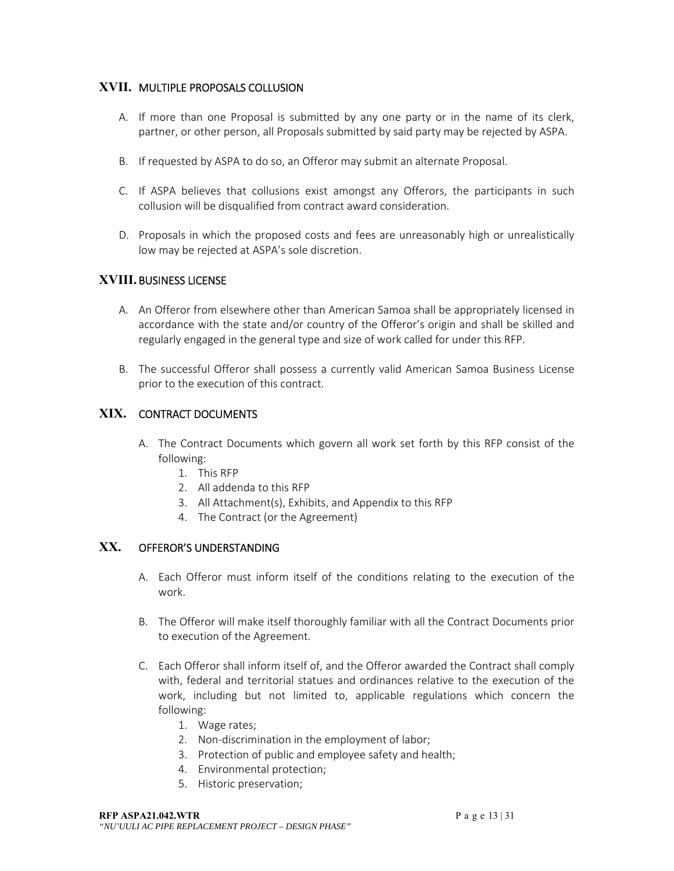## **XVII.** MULTIPLE PROPOSALS COLLUSION

- A. If more than one Proposal is submitted by any one party or in the name of its clerk, partner, or other person, all Proposals submitted by said party may be rejected by ASPA.
- B. If requested by ASPA to do so, an Offeror may submit an alternate Proposal.
- C. If ASPA believes that collusions exist amongst any Offerors, the participants in such collusion will be disqualified from contract award consideration.
- D. Proposals in which the proposed costs and fees are unreasonably high or unrealistically low may be rejected at ASPA's sole discretion.

## **XVIII.** BUSINESS LICENSE

- A. An Offeror from elsewhere other than American Samoa shall be appropriately licensed in accordance with the state and/or country of the Offeror's origin and shall be skilled and regularly engaged in the general type and size of work called for under this RFP.
- B. The successful Offeror shall possess a currently valid American Samoa Business License prior to the execution of this contract.

## **XIX.** CONTRACT DOCUMENTS

- A. The Contract Documents which govern all work set forth by this RFP consist of the following:
	- 1. This RFP
	- 2. All addenda to this RFP
	- 3. All Attachment(s), Exhibits, and Appendix to this RFP
	- 4. The Contract (or the Agreement)

## **XX.** OFFEROR'S UNDERSTANDING

- A. Each Offeror must inform itself of the conditions relating to the execution of the work.
- B. The Offeror will make itself thoroughly familiar with all the Contract Documents prior to execution of the Agreement.
- C. Each Offeror shall inform itself of, and the Offeror awarded the Contract shall comply with, federal and territorial statues and ordinances relative to the execution of the work, including but not limited to, applicable regulations which concern the following:
	- 1. Wage rates;
	- 2. Non-discrimination in the employment of labor;
	- 3. Protection of public and employee safety and health;
	- 4. Environmental protection;
	- 5. Historic preservation;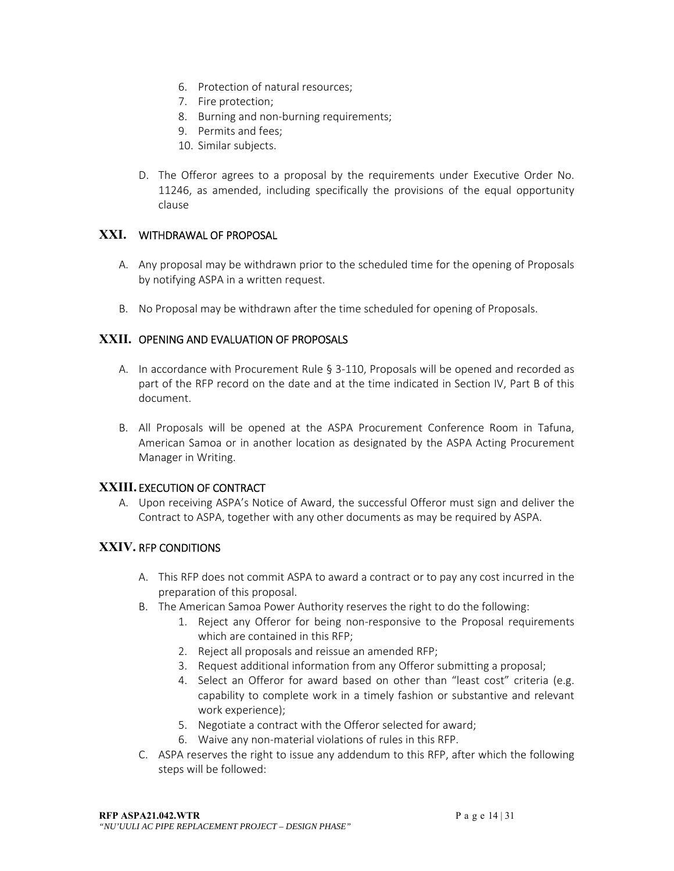- 6. Protection of natural resources;
- 7. Fire protection;
- 8. Burning and non‐burning requirements;
- 9. Permits and fees;
- 10. Similar subjects.
- D. The Offeror agrees to a proposal by the requirements under Executive Order No. 11246, as amended, including specifically the provisions of the equal opportunity clause

## **XXI.** WITHDRAWAL OF PROPOSAL

- A. Any proposal may be withdrawn prior to the scheduled time for the opening of Proposals by notifying ASPA in a written request.
- B. No Proposal may be withdrawn after the time scheduled for opening of Proposals.

## **XXII.** OPENING AND EVALUATION OF PROPOSALS

- A. In accordance with Procurement Rule § 3‐110, Proposals will be opened and recorded as part of the RFP record on the date and at the time indicated in Section IV, Part B of this document.
- B. All Proposals will be opened at the ASPA Procurement Conference Room in Tafuna, American Samoa or in another location as designated by the ASPA Acting Procurement Manager in Writing.

## **XXIII.** EXECUTION OF CONTRACT

A. Upon receiving ASPA's Notice of Award, the successful Offeror must sign and deliver the Contract to ASPA, together with any other documents as may be required by ASPA.

## **XXIV.** RFP CONDITIONS

- A. This RFP does not commit ASPA to award a contract or to pay any cost incurred in the preparation of this proposal.
- B. The American Samoa Power Authority reserves the right to do the following:
	- 1. Reject any Offeror for being non‐responsive to the Proposal requirements which are contained in this RFP;
	- 2. Reject all proposals and reissue an amended RFP;
	- 3. Request additional information from any Offeror submitting a proposal;
	- 4. Select an Offeror for award based on other than "least cost" criteria (e.g. capability to complete work in a timely fashion or substantive and relevant work experience);
	- 5. Negotiate a contract with the Offeror selected for award;
	- 6. Waive any non‐material violations of rules in this RFP.
- C. ASPA reserves the right to issue any addendum to this RFP, after which the following steps will be followed: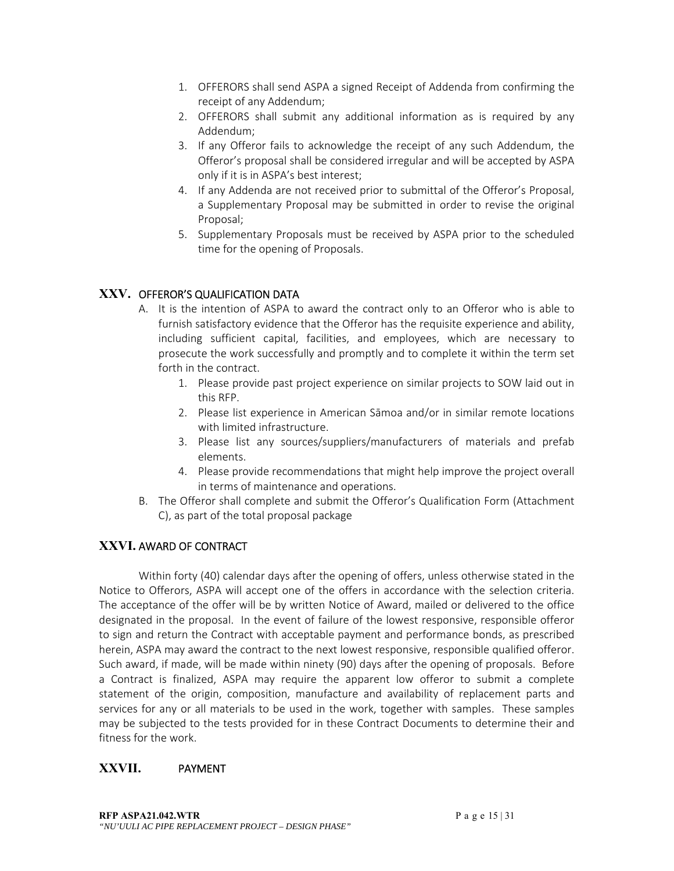- 1. OFFERORS shall send ASPA a signed Receipt of Addenda from confirming the receipt of any Addendum;
- 2. OFFERORS shall submit any additional information as is required by any Addendum;
- 3. If any Offeror fails to acknowledge the receipt of any such Addendum, the Offeror's proposal shall be considered irregular and will be accepted by ASPA only if it is in ASPA's best interest;
- 4. If any Addenda are not received prior to submittal of the Offeror's Proposal, a Supplementary Proposal may be submitted in order to revise the original Proposal;
- 5. Supplementary Proposals must be received by ASPA prior to the scheduled time for the opening of Proposals.

## **XXV.** OFFEROR'S QUALIFICATION DATA

- A. It is the intention of ASPA to award the contract only to an Offeror who is able to furnish satisfactory evidence that the Offeror has the requisite experience and ability, including sufficient capital, facilities, and employees, which are necessary to prosecute the work successfully and promptly and to complete it within the term set forth in the contract.
	- 1. Please provide past project experience on similar projects to SOW laid out in this RFP.
	- 2. Please list experience in American Sāmoa and/or in similar remote locations with limited infrastructure.
	- 3. Please list any sources/suppliers/manufacturers of materials and prefab elements.
	- 4. Please provide recommendations that might help improve the project overall in terms of maintenance and operations.
- B. The Offeror shall complete and submit the Offeror's Qualification Form (Attachment C), as part of the total proposal package

## **XXVI.** AWARD OF CONTRACT

 Within forty (40) calendar days after the opening of offers, unless otherwise stated in the Notice to Offerors, ASPA will accept one of the offers in accordance with the selection criteria. The acceptance of the offer will be by written Notice of Award, mailed or delivered to the office designated in the proposal. In the event of failure of the lowest responsive, responsible offeror to sign and return the Contract with acceptable payment and performance bonds, as prescribed herein, ASPA may award the contract to the next lowest responsive, responsible qualified offeror. Such award, if made, will be made within ninety (90) days after the opening of proposals. Before a Contract is finalized, ASPA may require the apparent low offeror to submit a complete statement of the origin, composition, manufacture and availability of replacement parts and services for any or all materials to be used in the work, together with samples. These samples may be subjected to the tests provided for in these Contract Documents to determine their and fitness for the work.

## **XXVII.** PAYMENT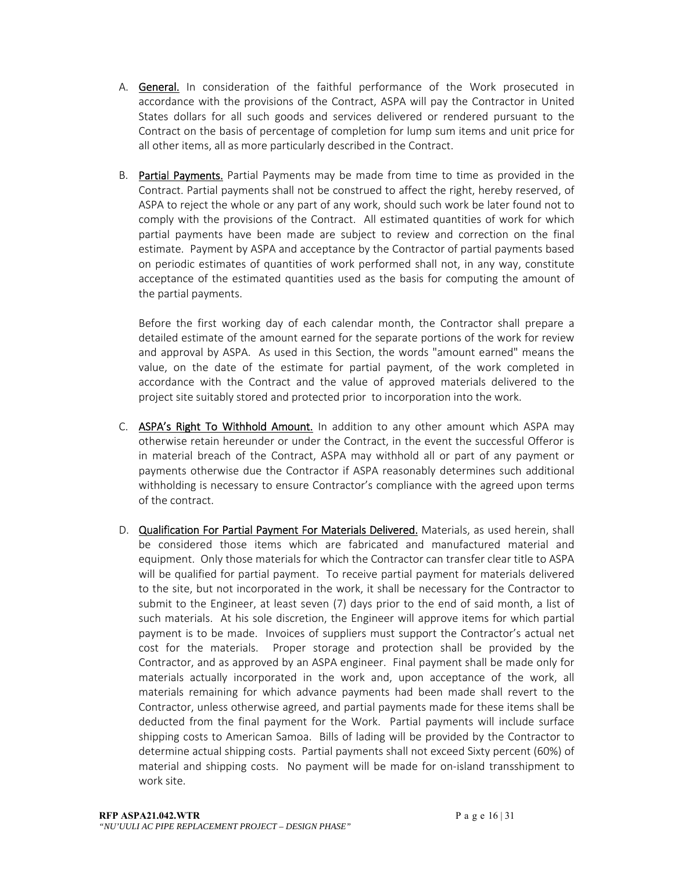- A. General. In consideration of the faithful performance of the Work prosecuted in accordance with the provisions of the Contract, ASPA will pay the Contractor in United States dollars for all such goods and services delivered or rendered pursuant to the Contract on the basis of percentage of completion for lump sum items and unit price for all other items, all as more particularly described in the Contract.
- B. Partial Payments. Partial Payments may be made from time to time as provided in the Contract. Partial payments shall not be construed to affect the right, hereby reserved, of ASPA to reject the whole or any part of any work, should such work be later found not to comply with the provisions of the Contract. All estimated quantities of work for which partial payments have been made are subject to review and correction on the final estimate. Payment by ASPA and acceptance by the Contractor of partial payments based on periodic estimates of quantities of work performed shall not, in any way, constitute acceptance of the estimated quantities used as the basis for computing the amount of the partial payments.

Before the first working day of each calendar month, the Contractor shall prepare a detailed estimate of the amount earned for the separate portions of the work for review and approval by ASPA. As used in this Section, the words "amount earned" means the value, on the date of the estimate for partial payment, of the work completed in accordance with the Contract and the value of approved materials delivered to the project site suitably stored and protected prior to incorporation into the work.

- C. ASPA's Right To Withhold Amount. In addition to any other amount which ASPA may otherwise retain hereunder or under the Contract, in the event the successful Offeror is in material breach of the Contract, ASPA may withhold all or part of any payment or payments otherwise due the Contractor if ASPA reasonably determines such additional withholding is necessary to ensure Contractor's compliance with the agreed upon terms of the contract.
- D. Qualification For Partial Payment For Materials Delivered. Materials, as used herein, shall be considered those items which are fabricated and manufactured material and equipment. Only those materials for which the Contractor can transfer clear title to ASPA will be qualified for partial payment. To receive partial payment for materials delivered to the site, but not incorporated in the work, it shall be necessary for the Contractor to submit to the Engineer, at least seven (7) days prior to the end of said month, a list of such materials. At his sole discretion, the Engineer will approve items for which partial payment is to be made. Invoices of suppliers must support the Contractor's actual net cost for the materials. Proper storage and protection shall be provided by the Contractor, and as approved by an ASPA engineer. Final payment shall be made only for materials actually incorporated in the work and, upon acceptance of the work, all materials remaining for which advance payments had been made shall revert to the Contractor, unless otherwise agreed, and partial payments made for these items shall be deducted from the final payment for the Work. Partial payments will include surface shipping costs to American Samoa. Bills of lading will be provided by the Contractor to determine actual shipping costs. Partial payments shall not exceed Sixty percent (60%) of material and shipping costs. No payment will be made for on-island transshipment to work site.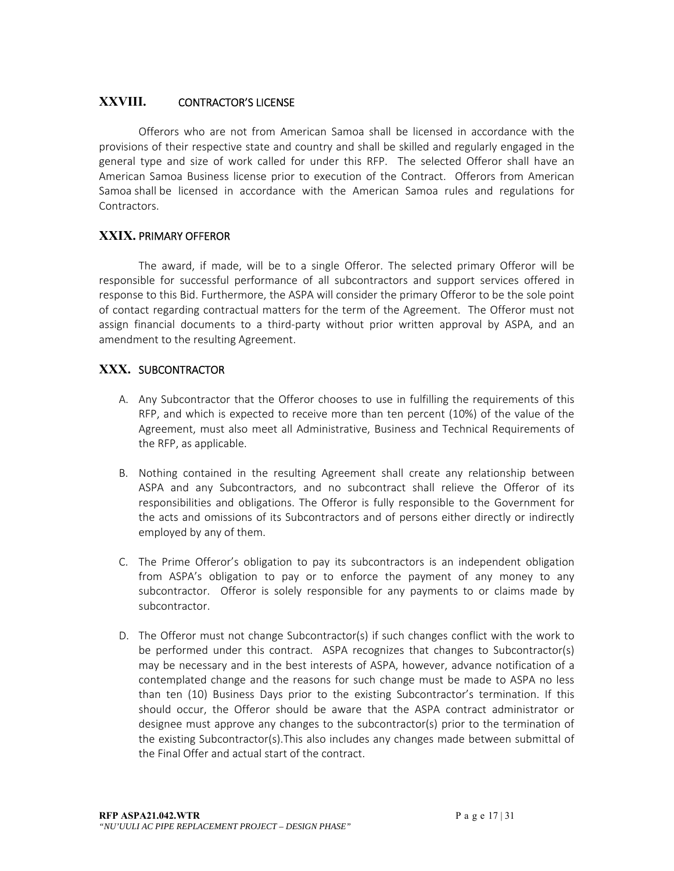## **XXVIII.** CONTRACTOR'S LICENSE

 Offerors who are not from American Samoa shall be licensed in accordance with the provisions of their respective state and country and shall be skilled and regularly engaged in the general type and size of work called for under this RFP. The selected Offeror shall have an American Samoa Business license prior to execution of the Contract. Offerors from American Samoa shall be licensed in accordance with the American Samoa rules and regulations for Contractors.

## **XXIX.** PRIMARY OFFEROR

The award, if made, will be to a single Offeror. The selected primary Offeror will be responsible for successful performance of all subcontractors and support services offered in response to this Bid. Furthermore, the ASPA will consider the primary Offeror to be the sole point of contact regarding contractual matters for the term of the Agreement. The Offeror must not assign financial documents to a third-party without prior written approval by ASPA, and an amendment to the resulting Agreement.

#### **XXX.** SUBCONTRACTOR

- A. Any Subcontractor that the Offeror chooses to use in fulfilling the requirements of this RFP, and which is expected to receive more than ten percent (10%) of the value of the Agreement, must also meet all Administrative, Business and Technical Requirements of the RFP, as applicable.
- B. Nothing contained in the resulting Agreement shall create any relationship between ASPA and any Subcontractors, and no subcontract shall relieve the Offeror of its responsibilities and obligations. The Offeror is fully responsible to the Government for the acts and omissions of its Subcontractors and of persons either directly or indirectly employed by any of them.
- C. The Prime Offeror's obligation to pay its subcontractors is an independent obligation from ASPA's obligation to pay or to enforce the payment of any money to any subcontractor. Offeror is solely responsible for any payments to or claims made by subcontractor.
- D. The Offeror must not change Subcontractor(s) if such changes conflict with the work to be performed under this contract. ASPA recognizes that changes to Subcontractor(s) may be necessary and in the best interests of ASPA, however, advance notification of a contemplated change and the reasons for such change must be made to ASPA no less than ten (10) Business Days prior to the existing Subcontractor's termination. If this should occur, the Offeror should be aware that the ASPA contract administrator or designee must approve any changes to the subcontractor(s) prior to the termination of the existing Subcontractor(s).This also includes any changes made between submittal of the Final Offer and actual start of the contract.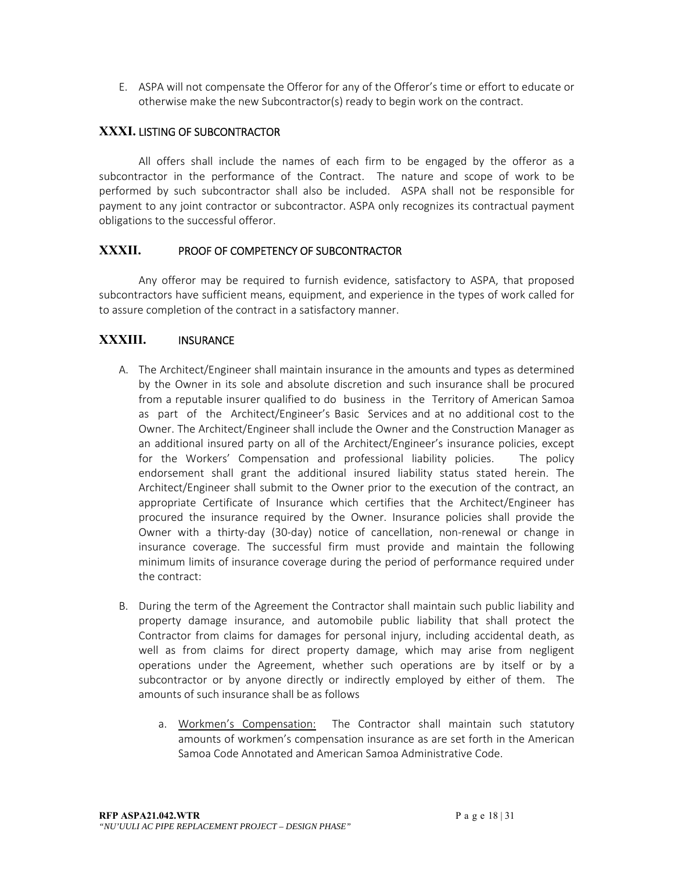E. ASPA will not compensate the Offeror for any of the Offeror's time or effort to educate or otherwise make the new Subcontractor(s) ready to begin work on the contract.

## **XXXI.** LISTING OF SUBCONTRACTOR

 All offers shall include the names of each firm to be engaged by the offeror as a subcontractor in the performance of the Contract. The nature and scope of work to be performed by such subcontractor shall also be included. ASPA shall not be responsible for payment to any joint contractor or subcontractor. ASPA only recognizes its contractual payment obligations to the successful offeror.

## **XXXII.** PROOF OF COMPETENCY OF SUBCONTRACTOR

Any offeror may be required to furnish evidence, satisfactory to ASPA, that proposed subcontractors have sufficient means, equipment, and experience in the types of work called for to assure completion of the contract in a satisfactory manner.

#### **XXXIII.** INSURANCE

- A. The Architect/Engineer shall maintain insurance in the amounts and types as determined by the Owner in its sole and absolute discretion and such insurance shall be procured from a reputable insurer qualified to do business in the Territory of American Samoa as part of the Architect/Engineer's Basic Services and at no additional cost to the Owner. The Architect/Engineer shall include the Owner and the Construction Manager as an additional insured party on all of the Architect/Engineer's insurance policies, except for the Workers' Compensation and professional liability policies. The policy endorsement shall grant the additional insured liability status stated herein. The Architect/Engineer shall submit to the Owner prior to the execution of the contract, an appropriate Certificate of Insurance which certifies that the Architect/Engineer has procured the insurance required by the Owner. Insurance policies shall provide the Owner with a thirty-day (30-day) notice of cancellation, non-renewal or change in insurance coverage. The successful firm must provide and maintain the following minimum limits of insurance coverage during the period of performance required under the contract:
- B. During the term of the Agreement the Contractor shall maintain such public liability and property damage insurance, and automobile public liability that shall protect the Contractor from claims for damages for personal injury, including accidental death, as well as from claims for direct property damage, which may arise from negligent operations under the Agreement, whether such operations are by itself or by a subcontractor or by anyone directly or indirectly employed by either of them. The amounts of such insurance shall be as follows
	- a. Workmen's Compensation: The Contractor shall maintain such statutory amounts of workmen's compensation insurance as are set forth in the American Samoa Code Annotated and American Samoa Administrative Code.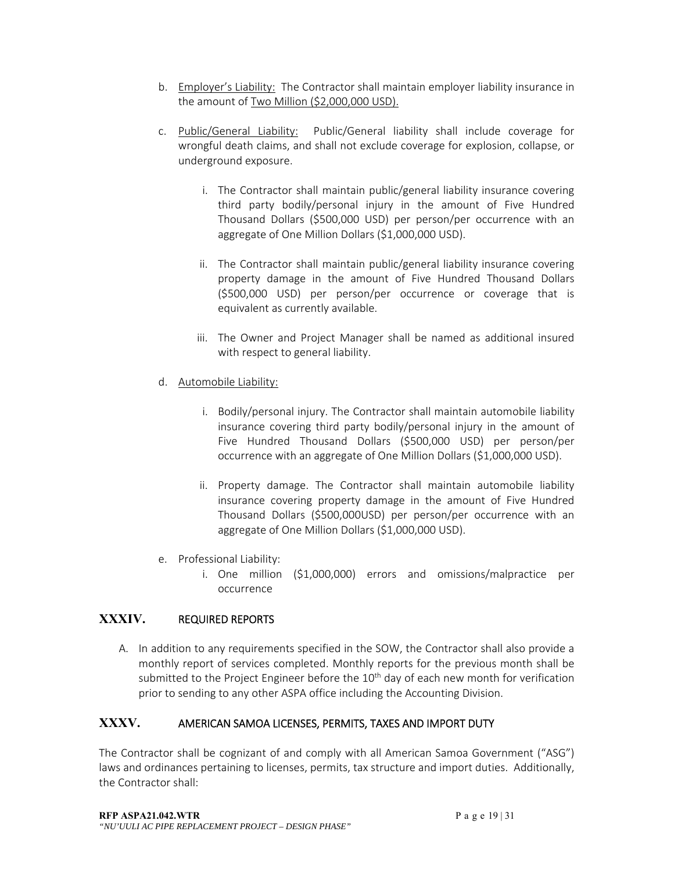- b. Employer's Liability: The Contractor shall maintain employer liability insurance in the amount of Two Million (\$2,000,000 USD).
- c. Public/General Liability: Public/General liability shall include coverage for wrongful death claims, and shall not exclude coverage for explosion, collapse, or underground exposure.
	- i. The Contractor shall maintain public/general liability insurance covering third party bodily/personal injury in the amount of Five Hundred Thousand Dollars (\$500,000 USD) per person/per occurrence with an aggregate of One Million Dollars (\$1,000,000 USD).
	- ii. The Contractor shall maintain public/general liability insurance covering property damage in the amount of Five Hundred Thousand Dollars (\$500,000 USD) per person/per occurrence or coverage that is equivalent as currently available.
	- iii. The Owner and Project Manager shall be named as additional insured with respect to general liability.
- d. Automobile Liability:
	- i. Bodily/personal injury. The Contractor shall maintain automobile liability insurance covering third party bodily/personal injury in the amount of Five Hundred Thousand Dollars (\$500,000 USD) per person/per occurrence with an aggregate of One Million Dollars (\$1,000,000 USD).
	- ii. Property damage. The Contractor shall maintain automobile liability insurance covering property damage in the amount of Five Hundred Thousand Dollars (\$500,000USD) per person/per occurrence with an aggregate of One Million Dollars (\$1,000,000 USD).
- e. Professional Liability:
	- i. One million (\$1,000,000) errors and omissions/malpractice per occurrence

# **XXXIV.** REQUIRED REPORTS

A. In addition to any requirements specified in the SOW, the Contractor shall also provide a monthly report of services completed. Monthly reports for the previous month shall be submitted to the Project Engineer before the  $10<sup>th</sup>$  day of each new month for verification prior to sending to any other ASPA office including the Accounting Division.

# **XXXV.** AMERICAN SAMOA LICENSES, PERMITS, TAXES AND IMPORT DUTY

The Contractor shall be cognizant of and comply with all American Samoa Government ("ASG") laws and ordinances pertaining to licenses, permits, tax structure and import duties. Additionally, the Contractor shall: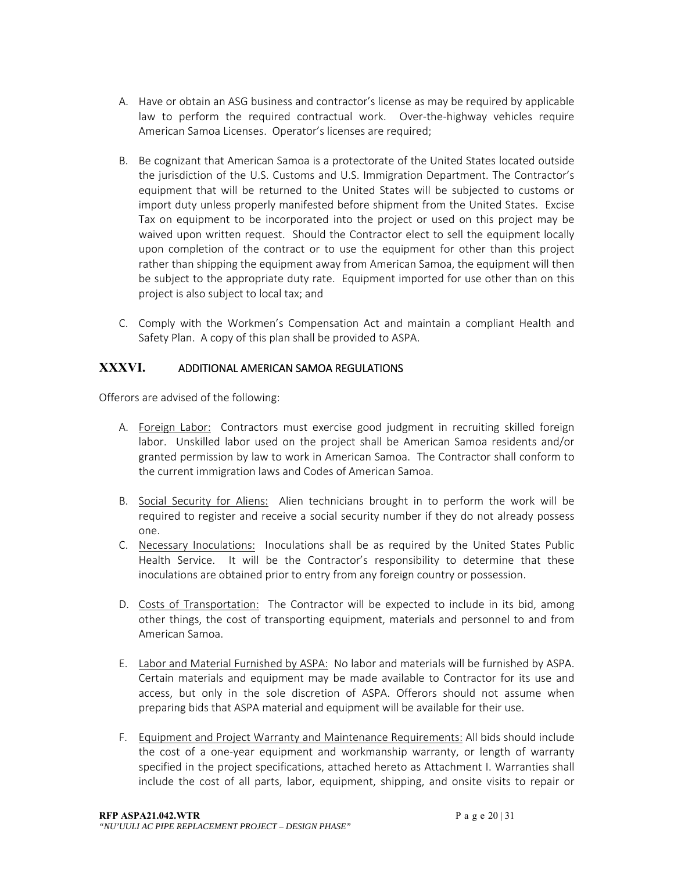- A. Have or obtain an ASG business and contractor's license as may be required by applicable law to perform the required contractual work. Over-the-highway vehicles require American Samoa Licenses. Operator's licenses are required;
- B. Be cognizant that American Samoa is a protectorate of the United States located outside the jurisdiction of the U.S. Customs and U.S. Immigration Department. The Contractor's equipment that will be returned to the United States will be subjected to customs or import duty unless properly manifested before shipment from the United States. Excise Tax on equipment to be incorporated into the project or used on this project may be waived upon written request. Should the Contractor elect to sell the equipment locally upon completion of the contract or to use the equipment for other than this project rather than shipping the equipment away from American Samoa, the equipment will then be subject to the appropriate duty rate. Equipment imported for use other than on this project is also subject to local tax; and
- C. Comply with the Workmen's Compensation Act and maintain a compliant Health and Safety Plan. A copy of this plan shall be provided to ASPA.

## **XXXVI.** ADDITIONAL AMERICAN SAMOA REGULATIONS

Offerors are advised of the following:

- A. Foreign\_Labor: Contractors must exercise good judgment in recruiting skilled foreign labor. Unskilled labor used on the project shall be American Samoa residents and/or granted permission by law to work in American Samoa. The Contractor shall conform to the current immigration laws and Codes of American Samoa.
- B. Social Security for Aliens: Alien technicians brought in to perform the work will be required to register and receive a social security number if they do not already possess one.
- C. Necessary Inoculations: Inoculations shall be as required by the United States Public Health Service. It will be the Contractor's responsibility to determine that these inoculations are obtained prior to entry from any foreign country or possession.
- D. Costs of Transportation: The Contractor will be expected to include in its bid, among other things, the cost of transporting equipment, materials and personnel to and from American Samoa.
- E. Labor and Material Furnished by ASPA: No labor and materials will be furnished by ASPA. Certain materials and equipment may be made available to Contractor for its use and access, but only in the sole discretion of ASPA. Offerors should not assume when preparing bids that ASPA material and equipment will be available for their use.
- F. Equipment and Project Warranty and Maintenance Requirements: All bids should include the cost of a one-year equipment and workmanship warranty, or length of warranty specified in the project specifications, attached hereto as Attachment I. Warranties shall include the cost of all parts, labor, equipment, shipping, and onsite visits to repair or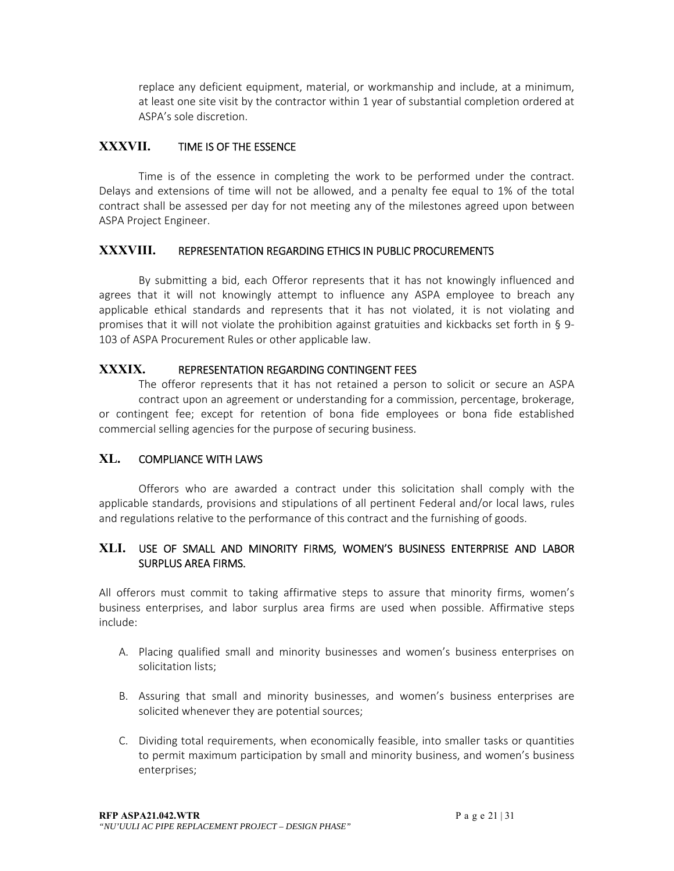replace any deficient equipment, material, or workmanship and include, at a minimum, at least one site visit by the contractor within 1 year of substantial completion ordered at ASPA's sole discretion.

## **XXXVII.** TIME IS OF THE ESSENCE

Time is of the essence in completing the work to be performed under the contract. Delays and extensions of time will not be allowed, and a penalty fee equal to 1% of the total contract shall be assessed per day for not meeting any of the milestones agreed upon between ASPA Project Engineer.

#### **XXXVIII.** REPRESENTATION REGARDING ETHICS IN PUBLIC PROCUREMENTS

By submitting a bid, each Offeror represents that it has not knowingly influenced and agrees that it will not knowingly attempt to influence any ASPA employee to breach any applicable ethical standards and represents that it has not violated, it is not violating and promises that it will not violate the prohibition against gratuities and kickbacks set forth in § 9‐ 103 of ASPA Procurement Rules or other applicable law.

#### **XXXIX.** REPRESENTATION REGARDING CONTINGENT FEES

The offeror represents that it has not retained a person to solicit or secure an ASPA contract upon an agreement or understanding for a commission, percentage, brokerage, or contingent fee; except for retention of bona fide employees or bona fide established commercial selling agencies for the purpose of securing business.

## **XL.** COMPLIANCE WITH LAWS

 Offerors who are awarded a contract under this solicitation shall comply with the applicable standards, provisions and stipulations of all pertinent Federal and/or local laws, rules and regulations relative to the performance of this contract and the furnishing of goods.

#### **XLI.** USE OF SMALL AND MINORITY FIRMS, WOMEN'S BUSINESS ENTERPRISE AND LABOR SURPLUS AREA FIRMS.

All offerors must commit to taking affirmative steps to assure that minority firms, women's business enterprises, and labor surplus area firms are used when possible. Affirmative steps include:

- A. Placing qualified small and minority businesses and women's business enterprises on solicitation lists;
- B. Assuring that small and minority businesses, and women's business enterprises are solicited whenever they are potential sources;
- C. Dividing total requirements, when economically feasible, into smaller tasks or quantities to permit maximum participation by small and minority business, and women's business enterprises;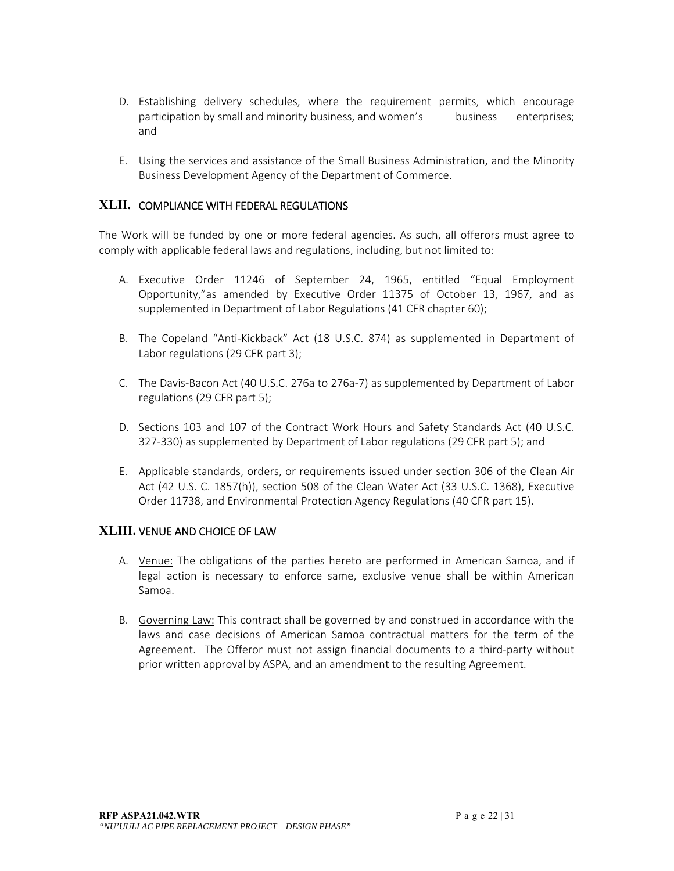- D. Establishing delivery schedules, where the requirement permits, which encourage participation by small and minority business, and women's business enterprises; and
- E. Using the services and assistance of the Small Business Administration, and the Minority Business Development Agency of the Department of Commerce.

## **XLII.** COMPLIANCE WITH FEDERAL REGULATIONS

The Work will be funded by one or more federal agencies. As such, all offerors must agree to comply with applicable federal laws and regulations, including, but not limited to:

- A. Executive Order 11246 of September 24, 1965, entitled "Equal Employment Opportunity,"as amended by Executive Order 11375 of October 13, 1967, and as supplemented in Department of Labor Regulations (41 CFR chapter 60);
- B. The Copeland "Anti-Kickback" Act (18 U.S.C. 874) as supplemented in Department of Labor regulations (29 CFR part 3);
- C. The Davis‐Bacon Act (40 U.S.C. 276a to 276a‐7) as supplemented by Department of Labor regulations (29 CFR part 5);
- D. Sections 103 and 107 of the Contract Work Hours and Safety Standards Act (40 U.S.C. 327‐330) as supplemented by Department of Labor regulations (29 CFR part 5); and
- E. Applicable standards, orders, or requirements issued under section 306 of the Clean Air Act (42 U.S. C. 1857(h)), section 508 of the Clean Water Act (33 U.S.C. 1368), Executive Order 11738, and Environmental Protection Agency Regulations (40 CFR part 15).

#### **XLIII.** VENUE AND CHOICE OF LAW

- A. Venue: The obligations of the parties hereto are performed in American Samoa, and if legal action is necessary to enforce same, exclusive venue shall be within American Samoa.
- B. Governing Law: This contract shall be governed by and construed in accordance with the laws and case decisions of American Samoa contractual matters for the term of the Agreement. The Offeror must not assign financial documents to a third-party without prior written approval by ASPA, and an amendment to the resulting Agreement.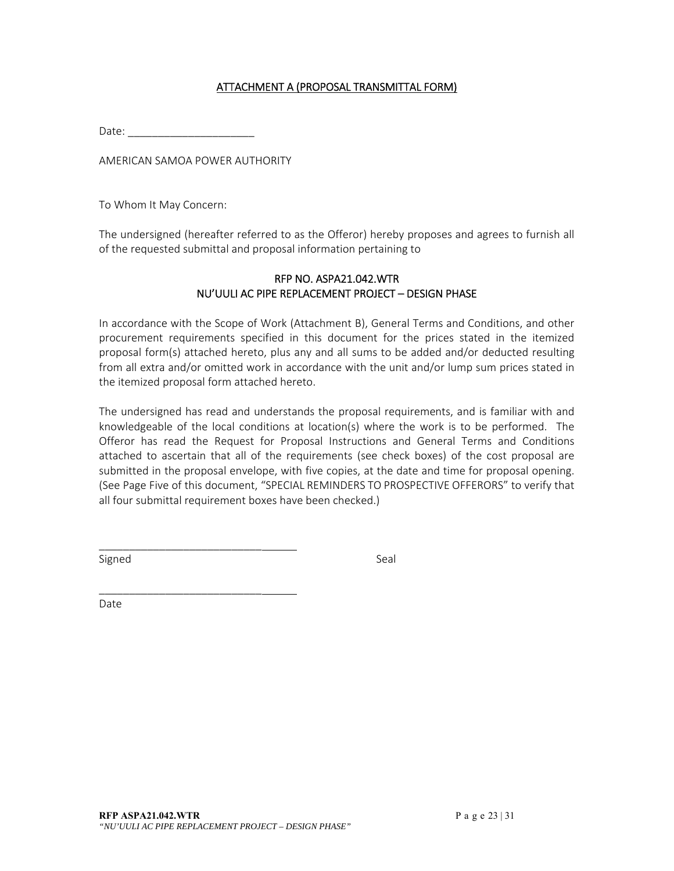## ATTACHMENT A (PROPOSAL TRANSMITTAL FORM)

Date:

AMERICAN SAMOA POWER AUTHORITY

\_\_\_\_\_\_\_\_\_\_\_\_\_\_\_\_\_\_\_\_\_\_\_\_\_\_\_

\_\_\_\_\_\_\_\_\_\_\_\_\_\_\_\_\_\_\_\_\_\_\_\_\_\_\_

To Whom It May Concern:

The undersigned (hereafter referred to as the Offeror) hereby proposes and agrees to furnish all of the requested submittal and proposal information pertaining to

#### RFP NO. ASPA21.042.WTR NU'UULI AC PIPE REPLACEMENT PROJECT – DESIGN PHASE

In accordance with the Scope of Work (Attachment B), General Terms and Conditions, and other procurement requirements specified in this document for the prices stated in the itemized proposal form(s) attached hereto, plus any and all sums to be added and/or deducted resulting from all extra and/or omitted work in accordance with the unit and/or lump sum prices stated in the itemized proposal form attached hereto.

The undersigned has read and understands the proposal requirements, and is familiar with and knowledgeable of the local conditions at location(s) where the work is to be performed. The Offeror has read the Request for Proposal Instructions and General Terms and Conditions attached to ascertain that all of the requirements (see check boxes) of the cost proposal are submitted in the proposal envelope, with five copies, at the date and time for proposal opening. (See Page Five of this document, "SPECIAL REMINDERS TO PROSPECTIVE OFFERORS" to verify that all four submittal requirement boxes have been checked.)

Signed Signed Signed Seal and Seal and Seal and Seal and Seal and Seal and Seal and Seal and Seal and Seal and

Date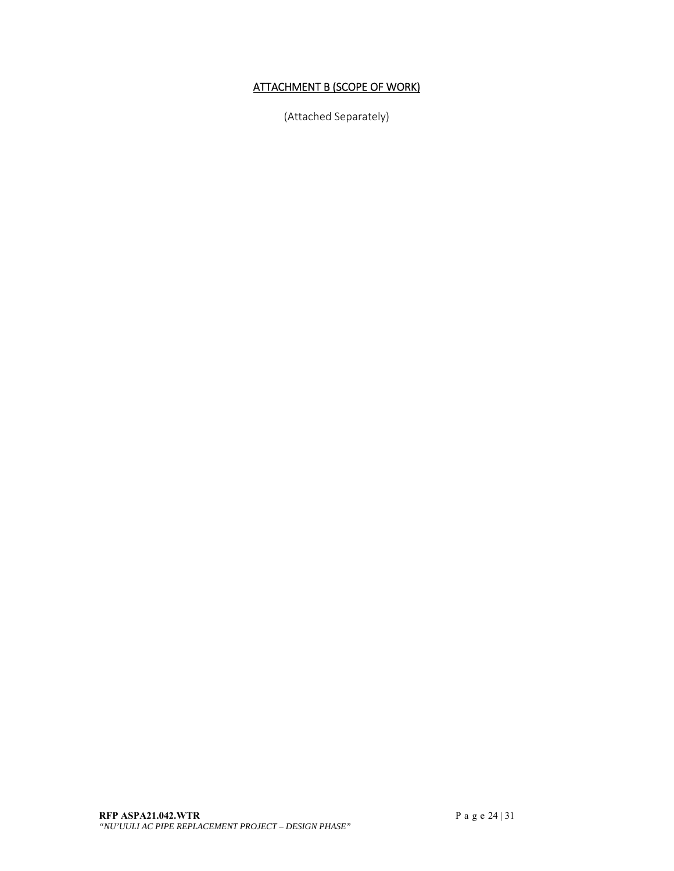# ATTACHMENT B (SCOPE OF WORK)

(Attached Separately)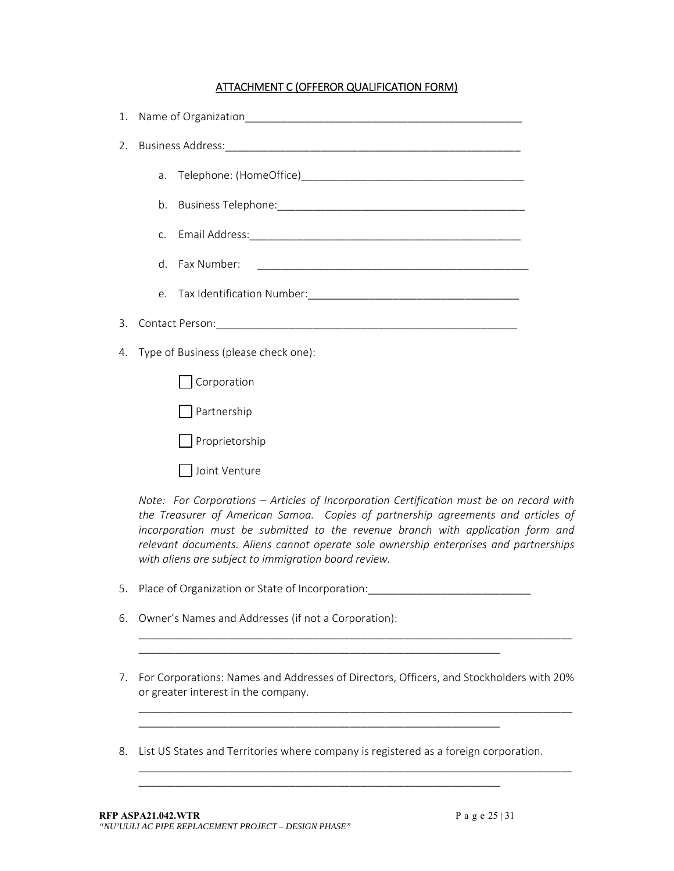## ATTACHMENT C (OFFEROR QUALIFICATION FORM)

| 1. |                                                                                                                                                                              |  |
|----|------------------------------------------------------------------------------------------------------------------------------------------------------------------------------|--|
| 2. |                                                                                                                                                                              |  |
|    |                                                                                                                                                                              |  |
|    |                                                                                                                                                                              |  |
|    |                                                                                                                                                                              |  |
|    | d. Fax Number:                                                                                                                                                               |  |
|    |                                                                                                                                                                              |  |
| 3. |                                                                                                                                                                              |  |
| 4. | Type of Business (please check one):                                                                                                                                         |  |
|    | Corporation                                                                                                                                                                  |  |
|    | Partnership                                                                                                                                                                  |  |
|    | Proprietorship                                                                                                                                                               |  |
|    | Joint Venture                                                                                                                                                                |  |
|    | Note: For Corporations - Articles of Incorporation Certification must be on record with<br>the Treasurer of American Samoa. Copies of partnership agreements and articles of |  |

*the Treasurer of American Samoa. Copies of partnership agreements and articles of incorporation must be submitted to the revenue branch with application form and relevant documents. Aliens cannot operate sole ownership enterprises and partnerships with aliens are subject to immigration board review.* 

\_\_\_\_\_\_\_\_\_\_\_\_\_\_\_\_\_\_\_\_\_\_\_\_\_\_\_\_\_\_\_\_\_\_\_\_\_\_\_\_\_\_\_\_\_\_\_\_\_\_\_\_\_\_\_\_\_\_\_\_\_\_\_\_\_\_\_\_\_\_\_\_

5. Place of Organization or State of Incorporation:\_\_\_\_\_\_\_\_\_\_\_\_\_\_\_\_\_\_\_\_\_\_\_\_\_\_\_

\_\_\_\_\_\_\_\_\_\_\_\_\_\_\_\_\_\_\_\_\_\_\_\_\_\_\_\_\_\_\_\_\_\_\_\_\_\_\_\_\_\_\_\_\_\_\_\_\_\_\_\_\_\_\_\_\_\_\_\_

\_\_\_\_\_\_\_\_\_\_\_\_\_\_\_\_\_\_\_\_\_\_\_\_\_\_\_\_\_\_\_\_\_\_\_\_\_\_\_\_\_\_\_\_\_\_\_\_\_\_\_\_\_\_\_\_\_\_\_\_

\_\_\_\_\_\_\_\_\_\_\_\_\_\_\_\_\_\_\_\_\_\_\_\_\_\_\_\_\_\_\_\_\_\_\_\_\_\_\_\_\_\_\_\_\_\_\_\_\_\_\_\_\_\_\_\_\_\_\_\_

- 6. Owner's Names and Addresses (if not a Corporation):
- 7. For Corporations: Names and Addresses of Directors, Officers, and Stockholders with 20% or greater interest in the company.

\_\_\_\_\_\_\_\_\_\_\_\_\_\_\_\_\_\_\_\_\_\_\_\_\_\_\_\_\_\_\_\_\_\_\_\_\_\_\_\_\_\_\_\_\_\_\_\_\_\_\_\_\_\_\_\_\_\_\_\_\_\_\_\_\_\_\_\_\_\_\_\_

\_\_\_\_\_\_\_\_\_\_\_\_\_\_\_\_\_\_\_\_\_\_\_\_\_\_\_\_\_\_\_\_\_\_\_\_\_\_\_\_\_\_\_\_\_\_\_\_\_\_\_\_\_\_\_\_\_\_\_\_\_\_\_\_\_\_\_\_\_\_\_\_

8. List US States and Territories where company is registered as a foreign corporation.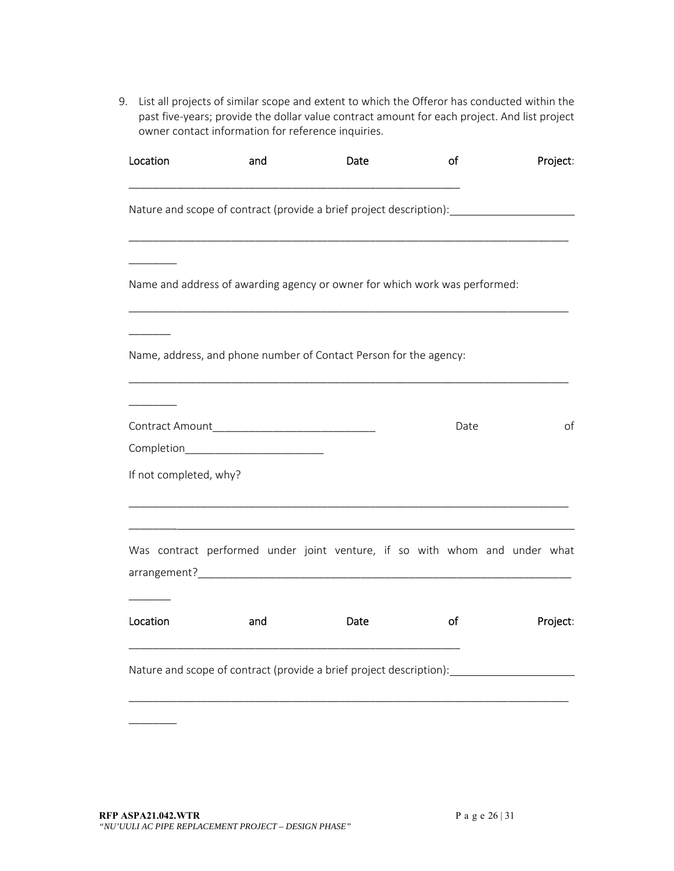9. List all projects of similar scope and extent to which the Offeror has conducted within the past five‐years; provide the dollar value contract amount for each project. And list project owner contact information for reference inquiries.

| Location               | and                                  | Date                                                                                                                                                                                                                                                                                                         | of   | Project: |
|------------------------|--------------------------------------|--------------------------------------------------------------------------------------------------------------------------------------------------------------------------------------------------------------------------------------------------------------------------------------------------------------|------|----------|
|                        |                                      | Nature and scope of contract (provide a brief project description): ____________                                                                                                                                                                                                                             |      |          |
|                        |                                      | Name and address of awarding agency or owner for which work was performed:                                                                                                                                                                                                                                   |      |          |
|                        |                                      | Name, address, and phone number of Contact Person for the agency:                                                                                                                                                                                                                                            |      |          |
|                        | Completion__________________________ |                                                                                                                                                                                                                                                                                                              | Date | of       |
| If not completed, why? |                                      |                                                                                                                                                                                                                                                                                                              |      |          |
|                        |                                      | Was contract performed under joint venture, if so with whom and under what<br>arrangement? Note also a series and a series of the series of the series of the series of the series of the series of the series of the series of the series of the series of the series of the series of the series of the se |      |          |
| Location               | and                                  | Date                                                                                                                                                                                                                                                                                                         | of   | Project: |
|                        |                                      | Nature and scope of contract (provide a brief project description):                                                                                                                                                                                                                                          |      |          |

 $\overline{\phantom{a}}$   $\overline{\phantom{a}}$   $\overline{\phantom{a}}$   $\overline{\phantom{a}}$   $\overline{\phantom{a}}$   $\overline{\phantom{a}}$   $\overline{\phantom{a}}$   $\overline{\phantom{a}}$   $\overline{\phantom{a}}$   $\overline{\phantom{a}}$   $\overline{\phantom{a}}$   $\overline{\phantom{a}}$   $\overline{\phantom{a}}$   $\overline{\phantom{a}}$   $\overline{\phantom{a}}$   $\overline{\phantom{a}}$   $\overline{\phantom{a}}$   $\overline{\phantom{a}}$   $\overline{\$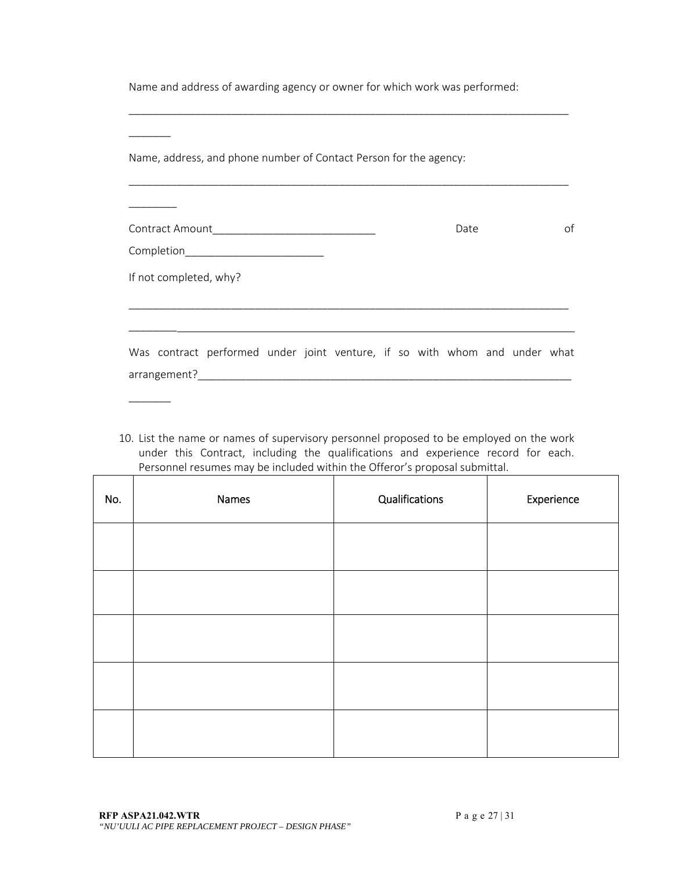Name and address of awarding agency or owner for which work was performed:

\_\_\_\_\_\_\_\_\_\_\_\_\_\_\_\_\_\_\_\_\_\_\_\_\_\_\_\_\_\_\_\_\_\_\_\_\_\_\_\_\_\_\_\_\_\_\_\_\_\_\_\_\_\_\_\_\_\_\_\_\_\_\_\_\_\_\_\_\_\_\_\_\_

| Name, address, and phone number of Contact Person for the agency:          |  |      |  |    |
|----------------------------------------------------------------------------|--|------|--|----|
|                                                                            |  | Date |  | οf |
| Completion____________________________                                     |  |      |  |    |
| If not completed, why?                                                     |  |      |  |    |
|                                                                            |  |      |  |    |
| Was contract performed under joint venture, if so with whom and under what |  |      |  |    |

10. List the name or names of supervisory personnel proposed to be employed on the work under this Contract, including the qualifications and experience record for each. Personnel resumes may be included within the Offeror's proposal submittal.

| No. | Names | Qualifications | Experience |
|-----|-------|----------------|------------|
|     |       |                |            |
|     |       |                |            |
|     |       |                |            |
|     |       |                |            |
|     |       |                |            |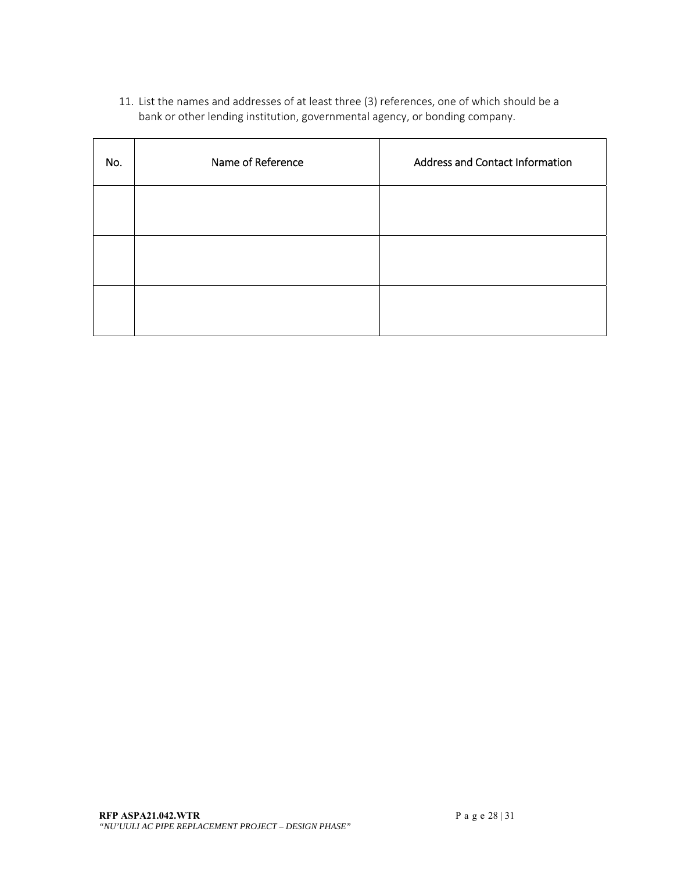11. List the names and addresses of at least three (3) references, one of which should be a bank or other lending institution, governmental agency, or bonding company.

| No. | Name of Reference | <b>Address and Contact Information</b> |
|-----|-------------------|----------------------------------------|
|     |                   |                                        |
|     |                   |                                        |
|     |                   |                                        |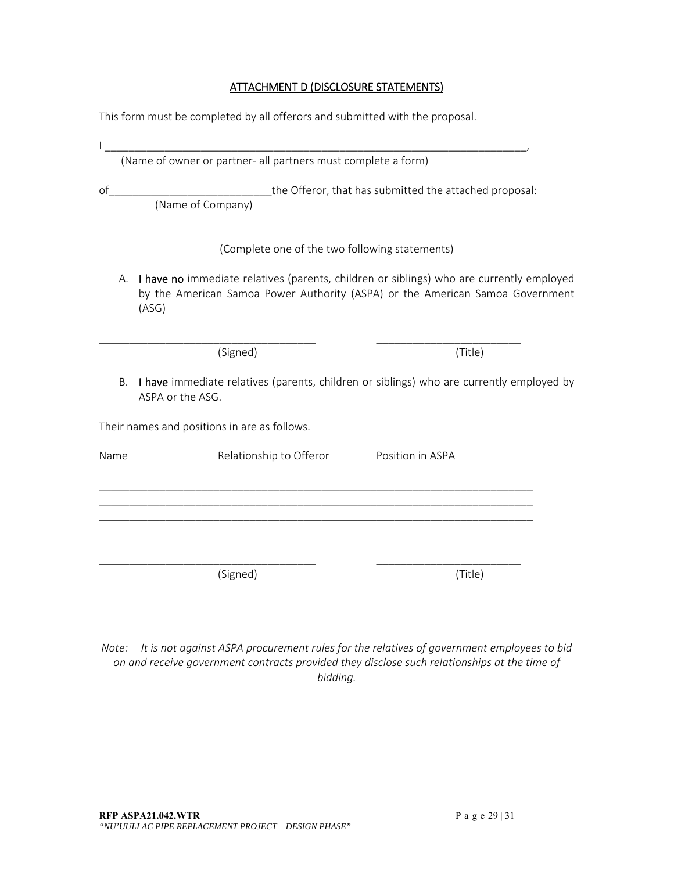#### ATTACHMENT D (DISCLOSURE STATEMENTS)

This form must be completed by all offerors and submitted with the proposal.

|      | (Name of owner or partner- all partners must complete a form)               |                                                                                                                                                                           |  |
|------|-----------------------------------------------------------------------------|---------------------------------------------------------------------------------------------------------------------------------------------------------------------------|--|
| of   | the Offeror, that has submitted the attached proposal:<br>(Name of Company) |                                                                                                                                                                           |  |
|      | (Complete one of the two following statements)                              |                                                                                                                                                                           |  |
| А.   | (ASG)                                                                       | I have no immediate relatives (parents, children or siblings) who are currently employed<br>by the American Samoa Power Authority (ASPA) or the American Samoa Government |  |
|      | (Signed)                                                                    | (Title)                                                                                                                                                                   |  |
| Β.   | ASPA or the ASG.                                                            | I have immediate relatives (parents, children or siblings) who are currently employed by                                                                                  |  |
|      | Their names and positions in are as follows.                                |                                                                                                                                                                           |  |
| Name | Relationship to Offeror                                                     | Position in ASPA                                                                                                                                                          |  |
|      |                                                                             |                                                                                                                                                                           |  |
|      |                                                                             |                                                                                                                                                                           |  |
|      | (Signed)                                                                    | (Title)                                                                                                                                                                   |  |

*Note: It is not against ASPA procurement rules for the relatives of government employees to bid on and receive government contracts provided they disclose such relationships at the time of bidding.*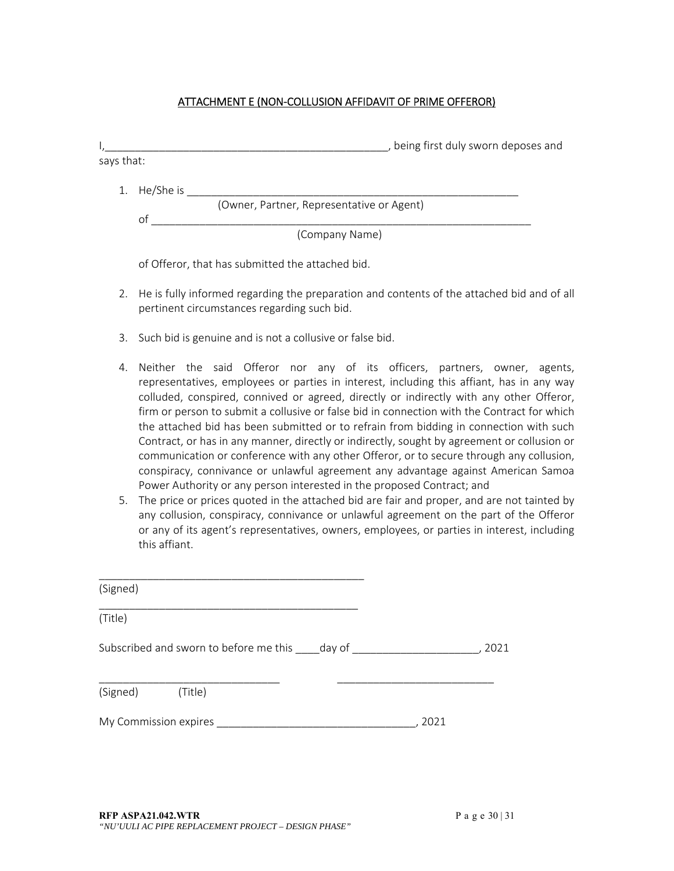#### ATTACHMENT E (NON‐COLLUSION AFFIDAVIT OF PRIME OFFEROR)

|              | being first duly sworn deposes and        |
|--------------|-------------------------------------------|
| says that:   |                                           |
| 1. He/She is |                                           |
|              | (Owner, Partner, Representative or Agent) |
| O1           |                                           |
|              | (Company Name)                            |

of Offeror, that has submitted the attached bid.

- 2. He is fully informed regarding the preparation and contents of the attached bid and of all pertinent circumstances regarding such bid.
- 3. Such bid is genuine and is not a collusive or false bid.
- 4. Neither the said Offeror nor any of its officers, partners, owner, agents, representatives, employees or parties in interest, including this affiant, has in any way colluded, conspired, connived or agreed, directly or indirectly with any other Offeror, firm or person to submit a collusive or false bid in connection with the Contract for which the attached bid has been submitted or to refrain from bidding in connection with such Contract, or has in any manner, directly or indirectly, sought by agreement or collusion or communication or conference with any other Offeror, or to secure through any collusion, conspiracy, connivance or unlawful agreement any advantage against American Samoa Power Authority or any person interested in the proposed Contract; and
- 5. The price or prices quoted in the attached bid are fair and proper, and are not tainted by any collusion, conspiracy, connivance or unlawful agreement on the part of the Offeror or any of its agent's representatives, owners, employees, or parties in interest, including this affiant.

| (Signed)                                      |      |
|-----------------------------------------------|------|
| (Title)                                       |      |
| Subscribed and sworn to before me this day of | 2021 |
| (Signed) (Title)                              |      |
| My Commission expires                         | 2021 |